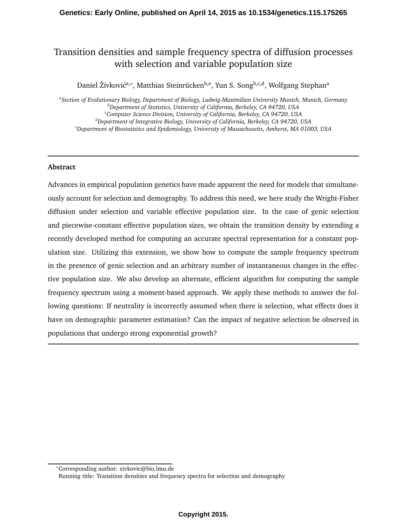# Transition densities and sample frequency spectra of diffusion processes with selection and variable population size

Daniel Živković<sup>a,</sup>\*, Matthias Steinrücken<sup>b,e</sup>, Yun S. Song<sup>b,c,d</sup>, Wolfgang Stephan<sup>a</sup>

*a Section of Evolutionary Biology, Department of Biology, Ludwig-Maximilian University Munich, Munich, Germany <sup>b</sup>Department of Statistics, University of California, Berkeley, CA 94720, USA <sup>c</sup>Computer Science Division, University of California, Berkeley, CA 94720, USA <sup>d</sup>Department of Integrative Biology, University of California, Berkeley, CA 94720, USA <sup>e</sup>Department of Biostatistics and Epidemiology, University of Massachusetts, Amherst, MA 01003, USA*

### **Abstract**

Advances in empirical population genetics have made apparent the need for models that simultaneously account for selection and demography. To address this need, we here study the Wright-Fisher diffusion under selection and variable effective population size. In the case of genic selection and piecewise-constant effective population sizes, we obtain the transition density by extending a recently developed method for computing an accurate spectral representation for a constant population size. Utilizing this extension, we show how to compute the sample frequency spectrum in the presence of genic selection and an arbitrary number of instantaneous changes in the effective population size. We also develop an alternate, efficient algorithm for computing the sample frequency spectrum using a moment-based approach. We apply these methods to answer the following questions: If neutrality is incorrectly assumed when there is selection, what effects does it have on demographic parameter estimation? Can the impact of negative selection be observed in populations that undergo strong exponential growth?

<sup>∗</sup>Corresponding author: zivkovic@bio.lmu.de

Running title: Transition densities and frequency spectra for selection and demography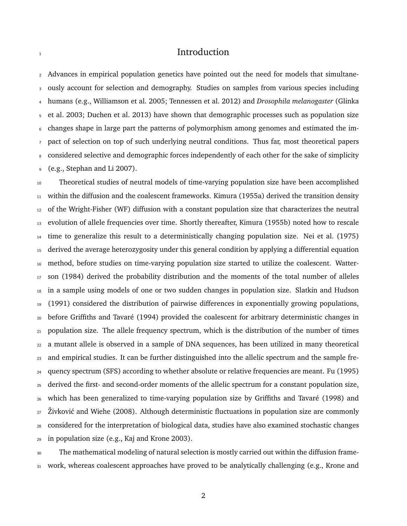### **Introduction**

 Advances in empirical population genetics have pointed out the need for models that simultane- ously account for selection and demography. Studies on samples from various species including humans (e.g., Williamson et al. 2005; Tennessen et al. 2012) and *Drosophila melanogaster* (Glinka et al. 2003; Duchen et al. 2013) have shown that demographic processes such as population size changes shape in large part the patterns of polymorphism among genomes and estimated the im- pact of selection on top of such underlying neutral conditions. Thus far, most theoretical papers 8 considered selective and demographic forces independently of each other for the sake of simplicity (e.g., Stephan and Li 2007).

 Theoretical studies of neutral models of time-varying population size have been accomplished 11 within the diffusion and the coalescent frameworks. Kimura (1955a) derived the transition density of the Wright-Fisher (WF) diffusion with a constant population size that characterizes the neutral evolution of allele frequencies over time. Shortly thereafter, Kimura (1955b) noted how to rescale time to generalize this result to a deterministically changing population size. Nei et al. (1975) derived the average heterozygosity under this general condition by applying a differential equation method, before studies on time-varying population size started to utilize the coalescent. Watter- son (1984) derived the probability distribution and the moments of the total number of alleles in a sample using models of one or two sudden changes in population size. Slatkin and Hudson (1991) considered the distribution of pairwise differences in exponentially growing populations, 20 before Griffiths and Tavaré (1994) provided the coalescent for arbitrary deterministic changes in population size. The allele frequency spectrum, which is the distribution of the number of times a mutant allele is observed in a sample of DNA sequences, has been utilized in many theoretical and empirical studies. It can be further distinguished into the allelic spectrum and the sample fre- quency spectrum (SFS) according to whether absolute or relative frequencies are meant. Fu (1995) derived the first- and second-order moments of the allelic spectrum for a constant population size, 26 which has been generalized to time-varying population size by Griffiths and Tavaré (1998) and Zivković and Wiehe (2008). Although deterministic fluctuations in population size are commonly considered for the interpretation of biological data, studies have also examined stochastic changes in population size (e.g., Kaj and Krone 2003).

 The mathematical modeling of natural selection is mostly carried out within the diffusion frame-31 work, whereas coalescent approaches have proved to be analytically challenging (e.g., Krone and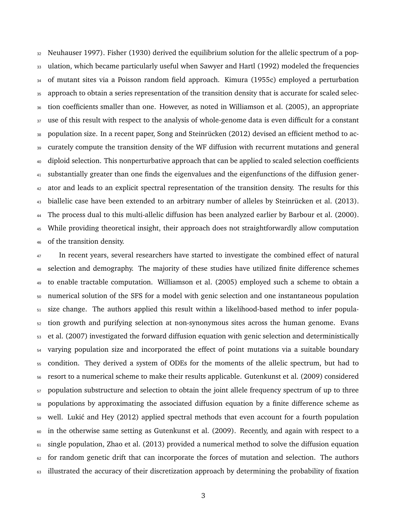Neuhauser 1997). Fisher (1930) derived the equilibrium solution for the allelic spectrum of a pop- ulation, which became particularly useful when Sawyer and Hartl (1992) modeled the frequencies of mutant sites via a Poisson random field approach. Kimura (1955c) employed a perturbation approach to obtain a series representation of the transition density that is accurate for scaled selec- tion coefficients smaller than one. However, as noted in Williamson et al. (2005), an appropriate 37 use of this result with respect to the analysis of whole-genome data is even difficult for a constant 38 population size. In a recent paper, Song and Steinrücken (2012) devised an efficient method to ac- curately compute the transition density of the WF diffusion with recurrent mutations and general diploid selection. This nonperturbative approach that can be applied to scaled selection coefficients substantially greater than one finds the eigenvalues and the eigenfunctions of the diffusion gener- ator and leads to an explicit spectral representation of the transition density. The results for this <sup>43</sup> biallelic case have been extended to an arbitrary number of alleles by Steinrücken et al. (2013). The process dual to this multi-allelic diffusion has been analyzed earlier by Barbour et al. (2000). While providing theoretical insight, their approach does not straightforwardly allow computation of the transition density.

<sup>47</sup> In recent years, several researchers have started to investigate the combined effect of natural selection and demography. The majority of these studies have utilized finite difference schemes to enable tractable computation. Williamson et al. (2005) employed such a scheme to obtain a numerical solution of the SFS for a model with genic selection and one instantaneous population size change. The authors applied this result within a likelihood-based method to infer popula-<sub>52</sub> tion growth and purifying selection at non-synonymous sites across the human genome. Evans et al. (2007) investigated the forward diffusion equation with genic selection and deterministically varying population size and incorporated the effect of point mutations via a suitable boundary condition. They derived a system of ODEs for the moments of the allelic spectrum, but had to resort to a numerical scheme to make their results applicable. Gutenkunst et al. (2009) considered population substructure and selection to obtain the joint allele frequency spectrum of up to three populations by approximating the associated diffusion equation by a finite difference scheme as well. Luki´c and Hey (2012) applied spectral methods that even account for a fourth population in the otherwise same setting as Gutenkunst et al. (2009). Recently, and again with respect to a single population, Zhao et al. (2013) provided a numerical method to solve the diffusion equation for random genetic drift that can incorporate the forces of mutation and selection. The authors illustrated the accuracy of their discretization approach by determining the probability of fixation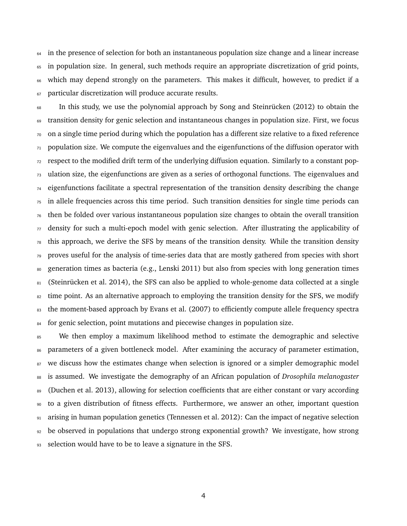in the presence of selection for both an instantaneous population size change and a linear increase in population size. In general, such methods require an appropriate discretization of grid points, which may depend strongly on the parameters. This makes it difficult, however, to predict if a particular discretization will produce accurate results.

 In this study, we use the polynomial approach by Song and Steinrücken (2012) to obtain the transition density for genic selection and instantaneous changes in population size. First, we focus on a single time period during which the population has a different size relative to a fixed reference population size. We compute the eigenvalues and the eigenfunctions of the diffusion operator with respect to the modified drift term of the underlying diffusion equation. Similarly to a constant pop- ulation size, the eigenfunctions are given as a series of orthogonal functions. The eigenvalues and eigenfunctions facilitate a spectral representation of the transition density describing the change in allele frequencies across this time period. Such transition densities for single time periods can then be folded over various instantaneous population size changes to obtain the overall transition density for such a multi-epoch model with genic selection. After illustrating the applicability of this approach, we derive the SFS by means of the transition density. While the transition density proves useful for the analysis of time-series data that are mostly gathered from species with short generation times as bacteria (e.g., Lenski 2011) but also from species with long generation times  $_{81}$  (Steinrücken et al. 2014), the SFS can also be applied to whole-genome data collected at a single <sup>82</sup> time point. As an alternative approach to employing the transition density for the SFS, we modify <sup>83</sup> the moment-based approach by Evans et al. (2007) to efficiently compute allele frequency spectra <sup>84</sup> for genic selection, point mutations and piecewise changes in population size.

85 We then employ a maximum likelihood method to estimate the demographic and selective parameters of a given bottleneck model. After examining the accuracy of parameter estimation, 87 we discuss how the estimates change when selection is ignored or a simpler demographic model is assumed. We investigate the demography of an African population of *Drosophila melanogaster* 89 (Duchen et al. 2013), allowing for selection coefficients that are either constant or vary according to a given distribution of fitness effects. Furthermore, we answer an other, important question arising in human population genetics (Tennessen et al. 2012): Can the impact of negative selection be observed in populations that undergo strong exponential growth? We investigate, how strong 93 selection would have to be to leave a signature in the SFS.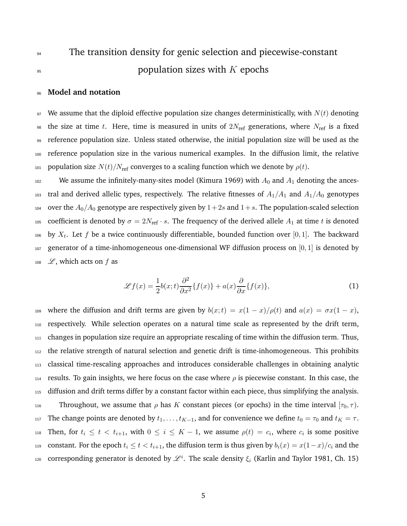# <sup>94</sup> The transition density for genic selection and piecewise-constant  $\mathfrak{p}$  population sizes with K epochs

### <sup>96</sup> **Model and notation**

97 We assume that the diploid effective population size changes deterministically, with  $N(t)$  denoting <sup>98</sup> the size at time t. Here, time is measured in units of  $2N_{\text{ref}}$  generations, where  $N_{\text{ref}}$  is a fixed <sup>99</sup> reference population size. Unless stated otherwise, the initial population size will be used as the <sup>100</sup> reference population size in the various numerical examples. In the diffusion limit, the relative 101 population size  $N(t)/N_{\text{ref}}$  converges to a scaling function which we denote by  $\rho(t)$ .

<sup>102</sup> We assume the infinitely-many-sites model (Kimura 1969) with  $A_0$  and  $A_1$  denoting the ances-103 tral and derived allelic types, respectively. The relative fitnesses of  $A_1/A_1$  and  $A_1/A_0$  genotypes 104 over the  $A_0/A_0$  genotype are respectively given by  $1+2s$  and  $1+s$ . The population-scaled selection 105 coefficient is denoted by  $\sigma = 2N_{\text{ref}} \cdot s$ . The frequency of the derived allele  $A_1$  at time t is denoted  $_{106}$  by  $X_t$ . Let  $f$  be a twice continuously differentiable, bounded function over  $[0,1]$ . The backward  $107$  generator of a time-inhomogeneous one-dimensional WF diffusion process on  $[0, 1]$  is denoted by 108  $\mathscr{L}$ , which acts on f as

$$
\mathcal{L}f(x) = \frac{1}{2}b(x;t)\frac{\partial^2}{\partial x^2}\{f(x)\} + a(x)\frac{\partial}{\partial x}\{f(x)\},\tag{1}
$$

109 where the diffusion and drift terms are given by  $b(x;t) = x(1-x)/\rho(t)$  and  $a(x) = \sigma x(1-x)$ , <sup>110</sup> respectively. While selection operates on a natural time scale as represented by the drift term,  $111$  changes in population size require an appropriate rescaling of time within the diffusion term. Thus, <sup>112</sup> the relative strength of natural selection and genetic drift is time-inhomogeneous. This prohibits <sup>113</sup> classical time-rescaling approaches and introduces considerable challenges in obtaining analytic 114 results. To gain insights, we here focus on the case where  $\rho$  is piecewise constant. In this case, the <sup>115</sup> diffusion and drift terms differ by a constant factor within each piece, thus simplifying the analysis. 116 Throughout, we assume that  $\rho$  has K constant pieces (or epochs) in the time interval  $[\tau_0, \tau)$ . 117 The change points are denoted by  $t_1, \ldots, t_{K-1}$ , and for convenience we define  $t_0 = \tau_0$  and  $t_K = \tau$ . 118 Then, for  $t_i \leq t < t_{i+1}$ , with  $0 \leq i \leq K-1$ , we assume  $\rho(t) = c_i$ , where  $c_i$  is some positive 119 constant. For the epoch  $t_i \le t < t_{i+1}$ , the diffusion term is thus given by  $b_i(x) = x(1-x)/c_i$  and the 120 corresponding generator is denoted by  $\mathscr{L}^i$ . The scale density  $\xi_i$  (Karlin and Taylor 1981, Ch. 15)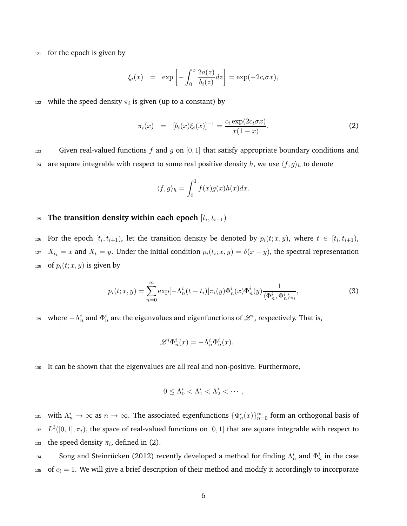$121$  for the epoch is given by

$$
\xi_i(x) = \exp\left[-\int_0^x \frac{2a(z)}{b_i(z)} dz\right] = \exp(-2c_i \sigma x),
$$

 $_{122}$  while the speed density  $\pi_i$  is given (up to a constant) by

$$
\pi_i(x) = [b_i(x)\xi_i(x)]^{-1} = \frac{c_i \exp(2c_i \sigma x)}{x(1-x)}.
$$
\n(2)

123 Given real-valued functions f and g on [0, 1] that satisfy appropriate boundary conditions and <sup>124</sup> are square integrable with respect to some real positive density h, we use  $\langle f, g \rangle_h$  to denote

$$
\langle f, g \rangle_h = \int_0^1 f(x)g(x)h(x)dx.
$$

### $_{125}$  The transition density within each epoch  $[t_i, t_{i+1})$

126 For the epoch  $[t_i, t_{i+1})$ , let the transition density be denoted by  $p_i(t; x, y)$ , where  $t \in [t_i, t_{i+1})$ , 127  $X_{t_i} = x$  and  $X_t = y$ . Under the initial condition  $p_i(t_i; x, y) = \delta(x - y)$ , the spectral representation 128 of  $p_i(t; x, y)$  is given by

$$
p_i(t; x, y) = \sum_{n=0}^{\infty} \exp[-\Lambda_n^i(t - t_i)] \pi_i(y) \Phi_n^i(x) \Phi_n^i(y) \frac{1}{\langle \Phi_n^i, \Phi_n^i \rangle_{\pi_i}},
$$
\n(3)

129 where  $-\Lambda_n^i$  and  $\Phi_n^i$  are the eigenvalues and eigenfunctions of  $\mathscr{L}^i$ , respectively. That is,

$$
\mathscr{L}^i \Phi_n^i(x) = -\Lambda_n^i \Phi_n^i(x).
$$

<sup>130</sup> It can be shown that the eigenvalues are all real and non-positive. Furthermore,

$$
0 \leq \Lambda_0^i < \Lambda_1^i < \Lambda_2^i < \cdots,
$$

131 with  $\Lambda_n^i \to \infty$  as  $n \to \infty$ . The associated eigenfunctions  $\{\Phi_n^i(x)\}_{n=0}^\infty$  form an orthogonal basis of 132  $L^2([0,1], \pi_i)$ , the space of real-valued functions on  $[0,1]$  that are square integrable with respect to 133 the speed density  $\pi_i$ , defined in (2).

134 Song and Steinrücken (2012) recently developed a method for finding  $\Lambda_n^i$  and  $\Phi_n^i$  in the case 135 of  $c_i = 1$ . We will give a brief description of their method and modify it accordingly to incorporate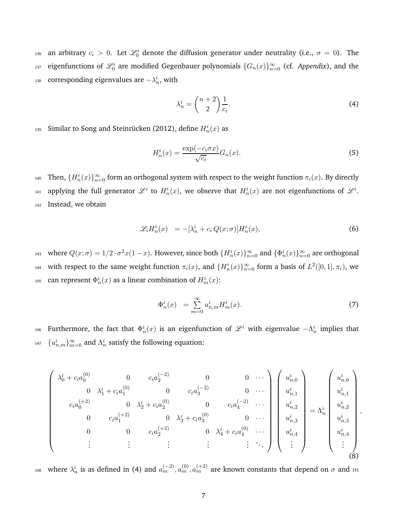136 an arbitrary  $c_i > 0$ . Let  $\mathcal{L}_0^i$  denote the diffusion generator under neutrality (i.e.,  $\sigma = 0$ ). The  $_{^{137}}$  eigenfunctions of  $\mathscr{L}_0^i$  are modified Gegenbauer polynomials  $\{G_n(x)\}_{n=0}^\infty$  (cf. *Appendix*), and the  $_{^{138}}$   $\,$  corresponding eigenvalues are  $-\lambda_n^i,$  with

$$
\lambda_n^i = \binom{n+2}{2} \frac{1}{c_i}.\tag{4}
$$

 $_{^{139}}$   $\,$  Similar to Song and Steinrücken (2012), define  $H_n^i(x)$  as

$$
H_n^i(x) = \frac{\exp(-c_i \sigma x)}{\sqrt{c_i}} G_n(x).
$$
 (5)

140 Then,  $\{H_n^i(x)\}_{n=0}^\infty$  form an orthogonal system with respect to the weight function  $\pi_i(x)$ . By directly <sup>141</sup> applying the full generator  $\mathscr{L}^i$  to  $H_n^i(x)$ , we observe that  $H_n^i(x)$  are not eigenfunctions of  $\mathscr{L}^i$ . 142 Instead, we obtain

$$
\mathcal{L}_i H_n^i(x) = -[\lambda_n^i + c_i Q(x; \sigma)] H_n^i(x), \tag{6}
$$

 $a_1a_3$  where  $Q(x; σ) = 1/2 ⋅ σ<sup>2</sup>x(1-x)$ . However, since both  ${H_n^i(x)}_{n=0}^{\infty}$  and  ${\Phi_n^i(x)}_{n=0}^{\infty}$  are orthogonal 144 with respect to the same weight function  $\pi_i(x)$ , and  $\{H_n^i(x)\}_{n=0}^{\infty}$  form a basis of  $L^2([0,1], \pi_i)$ , we <sup>145</sup> can represent  $\Phi_n^i(x)$  as a linear combination of  $H_m^i(x)$ :

$$
\Phi_n^i(x) = \sum_{m=0}^{\infty} u_{n,m}^i H_m^i(x). \tag{7}
$$

146 Furthermore, the fact that  $\Phi_n^i(x)$  is an eigenfunction of  $\mathscr{L}^i$  with eigenvalue  $-\Lambda_n^i$  implies that <sup>147</sup>  $\{u_{n,m}^i\}_{m=0}^{\infty}$  and  $\Lambda_n^i$  satisfy the following equation:

$$
\begin{pmatrix}\n\lambda_0^i + c_i a_0^{(0)} & 0 & c_i a_2^{(-2)} & 0 & 0 & \cdots \\
0 & \lambda_1^i + c_i a_1^{(0)} & 0 & c_i a_3^{(-2)} & 0 & \cdots \\
c_i a_0^{(+2)} & 0 & \lambda_2^i + c_i a_2^{(0)} & 0 & c_i a_4^{(-2)} & \cdots \\
0 & c_i a_1^{(+2)} & 0 & \lambda_3^i + c_i a_3^{(0)} & 0 & \cdots \\
0 & 0 & c_i a_2^{(+2)} & 0 & \lambda_4^i + c_i a_4^{(0)} & \cdots \\
\vdots & \vdots & \vdots & \vdots & \vdots & \ddots\n\end{pmatrix}\n\begin{pmatrix}\nu_{n,0}^i \\ u_{n,1}^i \\ u_{n,2}^i \\ u_{n,3}^i \\ u_{n,4}^i \\ \vdots \\ u_{n,4}^i\n\end{pmatrix} = \Lambda_n^i \begin{pmatrix}\nu_{n,0}^i \\ u_{n,1}^i \\ u_{n,2}^i \\ u_{n,3}^i \\ \vdots \\ u_{n,4}^i\n\end{pmatrix},
$$
\n(8)

 $_1$ <sub>48</sub> where  $\lambda_n^i$  is as defined in (4) and  $a_m^{(-2)},a_m^{(0)},a_m^{(+2)}$  are known constants that depend on  $\sigma$  and  $m$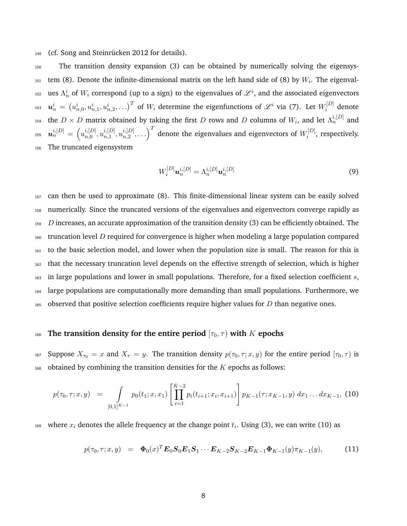$_{149}$  (cf. Song and Steinrücken 2012 for details).

<sup>150</sup> The transition density expansion (3) can be obtained by numerically solving the eigensys- $_{151}$  tem (8). Denote the infinite-dimensional matrix on the left hand side of (8) by  $W_i$ . The eigenval-152 ues  $\Lambda_n^i$  of  $W_i$  correspond (up to a sign) to the eigenvalues of  $\mathscr L^i,$  and the associated eigenvectors  $\bm{u}_n^i\,=\, \left(u_{n,0}^i,u_{n,1}^i,u_{n,2}^i,\ldots\right)^T$  of  $W_i$  determine the eigenfunctions of  $\mathscr{L}^i$  via (7). Let  $W_i^{[D]}$  $u_n^i = (u_{n,0}^i, u_{n,1}^i, u_{n,2}^i, \ldots)^T$  of  $W_i$  determine the eigenfunctions of  $\mathscr{L}^i$  via (7). Let  $W_i^{[D]}$  denote 154 the  $D \times D$  matrix obtained by taking the first D rows and D columns of  $W_i$ , and let  $\Lambda_n^{i,[D]}$  and  $\boldsymbol{u}_n^{i,[D]} \,=\, \left(u_{n,0}^{i,[D]}\right)$  $\stackrel{i,[D]}{n,0},\stackrel{i,[D]}{u_{n,1}^i}$  $\stackrel{i,[D]}{n,1},\stackrel{i,[D]}{u_{n,2}^i}$  $\left( \tilde{u}^{[D]}_{n,2}, \ldots \right)^T$  denote the eigenvalues and eigenvectors of  $W_i^{[D]}$  $u_n^{i,[D]} = (u_{n,0}^{i,[D]}, u_{n,1}^{i,[D]}, u_{n,2}^{i,[D]}, \dots)$  denote the eigenvalues and eigenvectors of  $W_i^{[D]}$ , respectively. <sup>156</sup> The truncated eigensystem

$$
W_i^{[D]} \mathbf{u}_n^{i,[D]} = \Lambda_n^{i,[D]} \mathbf{u}_n^{i,[D]}
$$
(9)

 can then be used to approximate (8). This finite-dimensional linear system can be easily solved numerically. Since the truncated versions of the eigenvalues and eigenvectors converge rapidly as D increases, an accurate approximation of the transition density (3) can be efficiently obtained. The  $_{160}$  truncation level D required for convergence is higher when modeling a large population compared to the basic selection model, and lower when the population size is small. The reason for this is that the necessary truncation level depends on the effective strength of selection, which is higher in large populations and lower in small populations. Therefore, for a fixed selection coefficient s, large populations are computationally more demanding than small populations. Furthermore, we  $_{165}$  observed that positive selection coefficients require higher values for D than negative ones.

### 166 **The transition density for the entire period**  $[\tau_0, \tau)$  with K epochs

167 Suppose  $X_{\tau_0} = x$  and  $X_\tau = y$ . The transition density  $p(\tau_0, \tau; x, y)$  for the entire period  $[\tau_0, \tau)$  is  $168$  obtained by combining the transition densities for the K epochs as follows:

$$
p(\tau_0, \tau; x, y) = \int_{[0,1]^{K-1}} p_0(t_1; x, x_1) \left[ \prod_{i=1}^{K-2} p_i(t_{i+1}; x_i, x_{i+1}) \right] p_{K-1}(\tau; x_{K-1}, y) dx_1 \dots dx_{K-1}, \tag{10}
$$

 $_{169}$  where  $x_i$  denotes the allele frequency at the change point  $t_i$ . Using (3), we can write (10) as

$$
p(\tau_0, \tau; x, y) = \Phi_0(x)^T E_0 S_0 E_1 S_1 \cdots E_{K-2} S_{K-2} E_{K-1} \Phi_{K-1}(y) \pi_{K-1}(y),
$$
(11)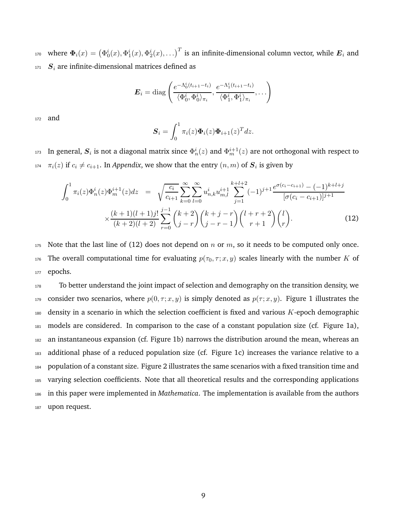170 where  $\pmb{\Phi}_i(x)=\left(\Phi_0^i(x),\Phi_1^i(x),\Phi_2^i(x),\ldots\right)^T$  is an infinite-dimensional column vector, while  $\pmb{E}_i$  and  $171$   $S_i$  are infinite-dimensional matrices defined as

$$
\boldsymbol{E}_i = \mathrm{diag}\left(\frac{e^{-\Lambda_0^i(t_{i+1}-t_i)}}{\langle \Phi_0^i, \Phi_0^i \rangle_{\pi_i}}, \frac{e^{-\Lambda_1^i(t_{i+1}-t_i)}}{\langle \Phi_1^i, \Phi_1^i \rangle_{\pi_i}}, \ldots\right)
$$

<sup>172</sup> and

$$
\boldsymbol{S}_i = \int_0^1 \pi_i(z) \boldsymbol{\Phi}_i(z) \boldsymbol{\Phi}_{i+1}(z)^T dz.
$$

173  $\,$  In general,  $\bm S_i$  is not a diagonal matrix since  $\Phi_n^i(z)$  and  $\Phi_m^{i+1}(z)$  are not orthogonal with respect to <sup>174</sup>  $\pi_i(z)$  if  $c_i \neq c_{i+1}$ . In *Appendix*, we show that the entry  $(n,m)$  of  $S_i$  is given by

$$
\int_{0}^{1} \pi_{i}(z)\Phi_{m}^{i}(z)\Phi_{m}^{i+1}(z)dz = \sqrt{\frac{c_{i}}{c_{i+1}}}\sum_{k=0}^{\infty}\sum_{l=0}^{\infty}u_{n,k}^{i}u_{m,l}^{i+1}\sum_{j=1}^{k+l+2}(-1)^{j+1}\frac{e^{\sigma(c_{i}-c_{i+1})}-(-1)^{k+l+j}}{[\sigma(c_{i}-c_{i+1})]^{j+1}} \times \frac{(k+1)(l+1)j!}{(k+2)(l+2)}\sum_{r=0}^{j-1} {k+2 \choose j-r}{k+j-r \choose j-r-1}{l+r+2 \choose r+1}{l \choose r}.
$$
\n(12)

175 Note that the last line of (12) does not depend on n or m, so it needs to be computed only once. 176 The overall computational time for evaluating  $p(\tau_0, \tau; x, y)$  scales linearly with the number K of 177 epochs.

178 To better understand the joint impact of selection and demography on the transition density, we 179 consider two scenarios, where  $p(0, \tau; x, y)$  is simply denoted as  $p(\tau; x, y)$ . Figure 1 illustrates the density in a scenario in which the selection coefficient is fixed and various  $K$ -epoch demographic models are considered. In comparison to the case of a constant population size (cf. Figure 1a), an instantaneous expansion (cf. Figure 1b) narrows the distribution around the mean, whereas an additional phase of a reduced population size (cf. Figure 1c) increases the variance relative to a population of a constant size. Figure 2 illustrates the same scenarios with a fixed transition time and varying selection coefficients. Note that all theoretical results and the corresponding applications in this paper were implemented in *Mathematica*. The implementation is available from the authors 187 upon request.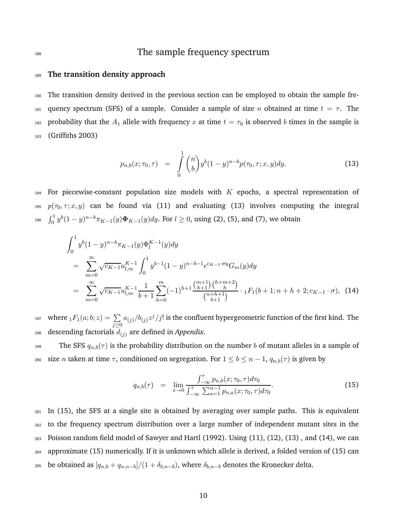# 188 188 The sample frequency spectrum

### <sup>189</sup> **The transition density approach**

<sup>190</sup> The transition density derived in the previous section can be employed to obtain the sample fre-191 quency spectrum (SFS) of a sample. Consider a sample of size n obtained at time  $t = \tau$ . The 192 probability that the  $A_1$  allele with frequency x at time  $t = \tau_0$  is observed b times in the sample is <sup>193</sup> (Griffiths 2003)

$$
p_{n,b}(x;\tau_0,\tau) = \int\limits_0^1 \binom{n}{b} y^b (1-y)^{n-b} p(\tau_0,\tau;x,y) dy.
$$
 (13)

194 For piecewise-constant population size models with  $K$  epochs, a spectral representation of 195  $p(\tau_0, \tau; x, y)$  can be found via (11) and evaluating (13) involves computing the integral 196  $\int_0^1 y^b (1-y)^{n-b} \pi_{K-1}(y) \Phi_{K-1}(y) dy$ . For  $l \ge 0$ , using (2), (5), and (7), we obtain

$$
\int_{0}^{1} y^{b} (1-y)^{n-b} \pi_{K-1}(y) \Phi_{l}^{K-1}(y) dy
$$
\n
$$
= \sum_{m=0}^{\infty} \sqrt{c_{K-1}} u_{l,m}^{K-1} \int_{0}^{1} y^{b-1} (1-y)^{n-b-1} e^{c_{K-1} \cdot \sigma y} G_{m}(y) dy
$$
\n
$$
= \sum_{m=0}^{\infty} \sqrt{c_{K-1}} u_{l,m}^{K-1} \frac{1}{b+1} \sum_{h=0}^{m} (-1)^{h+1} \frac{\binom{m+1}{h+1} \binom{h+m+2}{h}}{\binom{n+h+1}{b+1}} \cdot {}_{1}F_{1}(b+1; n+h+2; c_{K-1} \cdot \sigma), \quad (14)
$$

where  $_1F_1(a;b;z) = \sum$ 197 where  ${}_1F_1(a;b;z) = \sum_{j\geq 0} a_{(j)}/b_{(j)}z^j/j!$  is the confluent hypergeometric function of the first kind. The 198 descending factorials  $d_{(j)}$  are defined in *Appendix*.

199 The SFS  $q_{n,b}(\tau)$  is the probability distribution on the number b of mutant alleles in a sample of 200 size *n* taken at time  $\tau$ , conditioned on segregation. For  $1 \le b \le n-1$ ,  $q_{n,b}(\tau)$  is given by

$$
q_{n,b}(\tau) = \lim_{x \to 0} \frac{\int_{-\infty}^{\tau} p_{n,b}(x; \tau_0, \tau) d\tau_0}{\int_{-\infty}^{\tau} \sum_{a=1}^{n-1} p_{n,a}(x; \tau_0, \tau) d\tau_0}.
$$
 (15)

 In (15), the SFS at a single site is obtained by averaging over sample paths. This is equivalent to the frequency spectrum distribution over a large number of independent mutant sites in the Poisson random field model of Sawyer and Hartl (1992). Using (11), (12), (13) , and (14), we can approximate (15) numerically. If it is unknown which allele is derived, a folded version of (15) can <sup>205</sup> be obtained as  $[q_{n,b} + q_{n,n-b}]/(1 + \delta_{b,n-b})$ , where  $\delta_{b,n-b}$  denotes the Kronecker delta.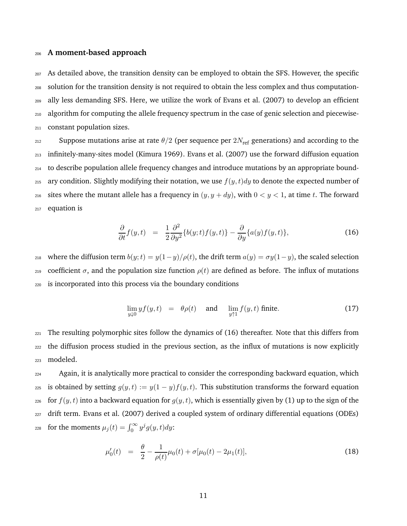#### <sup>206</sup> **A moment-based approach**

 As detailed above, the transition density can be employed to obtain the SFS. However, the specific solution for the transition density is not required to obtain the less complex and thus computation- ally less demanding SFS. Here, we utilize the work of Evans et al. (2007) to develop an efficient algorithm for computing the allele frequency spectrum in the case of genic selection and piecewise-constant population sizes.

212 Suppose mutations arise at rate  $\theta/2$  (per sequence per  $2N_{\text{ref}}$  generations) and according to the <sup>213</sup> infinitely-many-sites model (Kimura 1969). Evans et al. (2007) use the forward diffusion equation <sup>214</sup> to describe population allele frequency changes and introduce mutations by an appropriate bound-215 ary condition. Slightly modifying their notation, we use  $f(y, t) dy$  to denote the expected number of 216 sites where the mutant allele has a frequency in  $(y, y + dy)$ , with  $0 < y < 1$ , at time t. The forward <sup>217</sup> equation is

$$
\frac{\partial}{\partial t} f(y, t) = \frac{1}{2} \frac{\partial^2}{\partial y^2} \{b(y; t) f(y, t)\} - \frac{\partial}{\partial y} \{a(y) f(y, t)\},\tag{16}
$$

218 where the diffusion term  $b(y;t) = y(1-y)/\rho(t)$ , the drift term  $a(y) = \sigma y(1-y)$ , the scaled selection 219 coefficient σ, and the population size function  $\rho(t)$  are defined as before. The influx of mutations <sup>220</sup> is incorporated into this process via the boundary conditions

$$
\lim_{y \downarrow 0} y f(y, t) = \theta \rho(t) \quad \text{and} \quad \lim_{y \uparrow 1} f(y, t) \text{ finite.}
$$
 (17)

 $_{221}$  The resulting polymorphic sites follow the dynamics of (16) thereafter. Note that this differs from <sup>222</sup> the diffusion process studied in the previous section, as the influx of mutations is now explicitly <sup>223</sup> modeled.

<sup>224</sup> Again, it is analytically more practical to consider the corresponding backward equation, which 225 is obtained by setting  $g(y, t) := y(1 - y)f(y, t)$ . This substitution transforms the forward equation <sup>226</sup> for  $f(y, t)$  into a backward equation for  $g(y, t)$ , which is essentially given by (1) up to the sign of the <sup>227</sup> drift term. Evans et al. (2007) derived a coupled system of ordinary differential equations (ODEs) 228 for the moments  $\mu_j(t) = \int_0^\infty y^j g(y, t) dy$ :

$$
\mu_0'(t) = \frac{\theta}{2} - \frac{1}{\rho(t)}\mu_0(t) + \sigma[\mu_0(t) - 2\mu_1(t)],\tag{18}
$$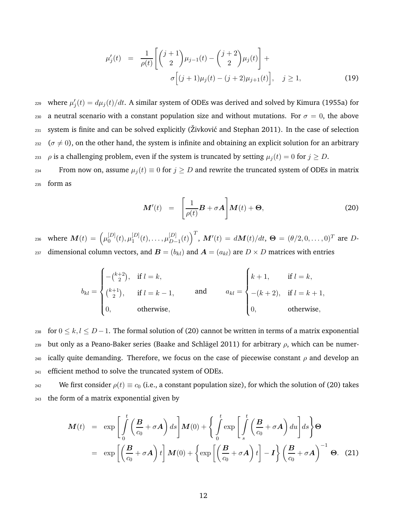$$
\mu'_{j}(t) = \frac{1}{\rho(t)} \left[ \binom{j+1}{2} \mu_{j-1}(t) - \binom{j+2}{2} \mu_{j}(t) \right] + \sigma \left[ (j+1) \mu_{j}(t) - (j+2) \mu_{j+1}(t) \right], \quad j \ge 1,
$$
\n(19)

<sup>229</sup> where  $\mu'_j(t) = d\mu_j(t)/dt$ . A similar system of ODEs was derived and solved by Kimura (1955a) for 230 a neutral scenario with a constant population size and without mutations. For  $\sigma = 0$ , the above  $_{231}$  system is finite and can be solved explicitly (Živković and Stephan 2011). In the case of selection  $232$  ( $\sigma \neq 0$ ), on the other hand, the system is infinite and obtaining an explicit solution for an arbitrary 233 *ρ* is a challenging problem, even if the system is truncated by setting  $\mu_i(t) = 0$  for  $j \ge D$ .

234 From now on, assume  $\mu_i(t) \equiv 0$  for  $j \geq D$  and rewrite the truncated system of ODEs in matrix <sup>235</sup> form as

$$
\boldsymbol{M}'(t) = \left[\frac{1}{\rho(t)}\boldsymbol{B} + \sigma \boldsymbol{A}\right] \boldsymbol{M}(t) + \boldsymbol{\Theta}, \tag{20}
$$

where  $\boldsymbol{M}(t) = \left(\mu_0^{[D]}\right)$  $_{0}^{[D]}(t),\mu_1^{[D]}$  $_{1}^{[D]}(t),\ldots,\mu_{D-}^{[D]}$ 236 where  $\bm{M}(t) = \left(\mu_0^{[D]}(t), \mu_1^{[D]}(t), \ldots, \mu_{D-1}^{[D]}(t)\right)^T$ ,  $\bm{M}'(t) = d\bm{M}(t)/dt$ , ⊖ = (θ/2, 0, . . . , 0)<sup>T</sup> are D-237 dimensional column vectors, and  $\mathbf{B} = (b_{kl})$  and  $\mathbf{A} = (a_{kl})$  are  $D \times D$  matrices with entries

$$
b_{kl} = \begin{cases} -(k+2) \\ k+1 \\ k \end{cases}
$$
 if  $l = k$ ,  
\n
$$
b_{kl} = \begin{cases} k+1, & \text{if } l = k, \\ -(k+2), & \text{if } l = k+1, \\ 0, & \text{otherwise,} \end{cases}
$$
 and 
$$
a_{kl} = \begin{cases} k+1, & \text{if } l = k, \\ -(k+2), & \text{if } l = k+1, \\ 0, & \text{otherwise,} \end{cases}
$$

238 for  $0 \le k, l \le D-1$ . The formal solution of (20) cannot be written in terms of a matrix exponential 239 but only as a Peano-Baker series (Baake and Schlägel 2011) for arbitrary  $\rho$ , which can be numer-240 ically quite demanding. Therefore, we focus on the case of piecewise constant  $\rho$  and develop an <sup>241</sup> efficient method to solve the truncated system of ODEs.

<sup>242</sup> We first consider  $\rho(t) \equiv c_0$  (i.e., a constant population size), for which the solution of (20) takes <sup>243</sup> the form of a matrix exponential given by

$$
\mathbf{M}(t) = \exp\left[\int_{0}^{t} \left(\frac{\mathbf{B}}{c_{0}} + \sigma \mathbf{A}\right) ds\right] \mathbf{M}(0) + \left\{\int_{0}^{t} \exp\left[\int_{s}^{t} \left(\frac{\mathbf{B}}{c_{0}} + \sigma \mathbf{A}\right) du\right] ds\right\} \Theta
$$

$$
= \exp\left[\left(\frac{\mathbf{B}}{c_{0}} + \sigma \mathbf{A}\right) t\right] \mathbf{M}(0) + \left\{\exp\left[\left(\frac{\mathbf{B}}{c_{0}} + \sigma \mathbf{A}\right) t\right] - I\right\} \left(\frac{\mathbf{B}}{c_{0}} + \sigma \mathbf{A}\right)^{-1} \Theta. \quad (21)
$$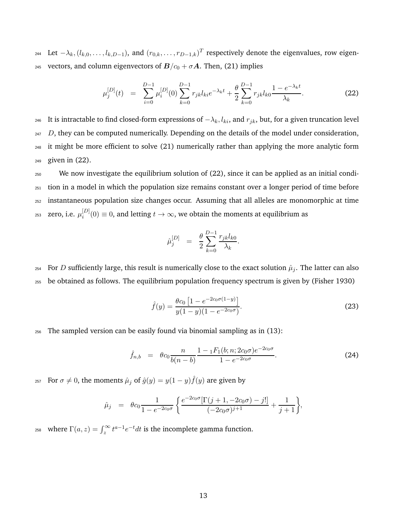244 Let  $-\lambda_k$ ,  $(l_{k,0},...,l_{k,D-1})$ , and  $(r_{0,k},...,r_{D-1,k})$ <sup>T</sup> respectively denote the eigenvalues, row eigen-245 vectors, and column eigenvectors of  $B/c_0 + \sigma A$ . Then, (21) implies

$$
\mu_j^{[D]}(t) = \sum_{i=0}^{D-1} \mu_i^{[D]}(0) \sum_{k=0}^{D-1} r_{jk} l_{ki} e^{-\lambda_k t} + \frac{\theta}{2} \sum_{k=0}^{D-1} r_{jk} l_{k0} \frac{1 - e^{-\lambda_k t}}{\lambda_k}.
$$
 (22)

246 It is intractable to find closed-form expressions of  $-\lambda_k$ ,  $l_{ki}$ , and  $r_{jk}$ , but, for a given truncation level D, they can be computed numerically. Depending on the details of the model under consideration, it might be more efficient to solve (21) numerically rather than applying the more analytic form given in (22).

<sup>250</sup> We now investigate the equilibrium solution of (22), since it can be applied as an initial condi-<sup>251</sup> tion in a model in which the population size remains constant over a longer period of time before <sup>252</sup> instantaneous population size changes occur. Assuming that all alleles are monomorphic at time zero, i.e.  $\mu_i^{[D]}$ <sup>253</sup> zero, i.e.  $\mu_i^{[D]}(0) \equiv 0$ , and letting  $t \to \infty$ , we obtain the moments at equilibrium as

$$
\hat{\mu}_j^{[D]} = \frac{\theta}{2} \sum_{k=0}^{D-1} \frac{r_{jk} l_{k0}}{\lambda_k}.
$$

<sup>254</sup> For D sufficiently large, this result is numerically close to the exact solution  $\hat{\mu}_j$ . The latter can also <sup>255</sup> be obtained as follows. The equilibrium population frequency spectrum is given by (Fisher 1930)

$$
\hat{f}(y) = \frac{\theta c_0 \left[ 1 - e^{-2c_0 \sigma (1-y)} \right]}{y(1-y)(1 - e^{-2c_0 \sigma})}.
$$
\n(23)

<sup>256</sup> The sampled version can be easily found via binomial sampling as in (13):

$$
\hat{f}_{n,b} = \theta c_0 \frac{n}{b(n-b)} \frac{1 - {}_1F_1(b; n; 2c_0\sigma)e^{-2c_0\sigma}}{1 - e^{-2c_0\sigma}}.
$$
\n(24)

<sup>257</sup> For  $\sigma \neq 0$ , the moments  $\hat{\mu}_j$  of  $\hat{g}(y) = y(1-y)\hat{f}(y)$  are given by

$$
\hat{\mu}_j = \theta c_0 \frac{1}{1 - e^{-2c_0 \sigma}} \left\{ \frac{e^{-2c_0 \sigma} [\Gamma(j+1, -2c_0 \sigma) - j!]}{(-2c_0 \sigma)^{j+1}} + \frac{1}{j+1} \right\},\,
$$

<sup>258</sup> where  $\Gamma(a, z) = \int_z^{\infty} t^{a-1} e^{-t} dt$  is the incomplete gamma function.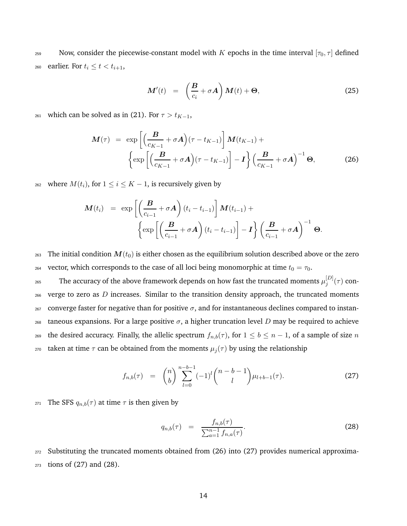259 Now, consider the piecewise-constant model with K epochs in the time interval  $[\tau_0, \tau]$  defined 260 earlier. For  $t_i \leq t < t_{i+1}$ ,

$$
\mathbf{M}'(t) = \left(\frac{\mathbf{B}}{c_i} + \sigma \mathbf{A}\right) \mathbf{M}(t) + \mathbf{\Theta},\tag{25}
$$

<sup>261</sup> which can be solved as in (21). For  $\tau > t_{K-1}$ ,

$$
\mathbf{M}(\tau) = \exp\left[\left(\frac{\mathbf{B}}{c_{K-1}} + \sigma \mathbf{A}\right)(\tau - t_{K-1})\right] \mathbf{M}(t_{K-1}) + \left\{\exp\left[\left(\frac{\mathbf{B}}{c_{K-1}} + \sigma \mathbf{A}\right)(\tau - t_{K-1})\right] - \mathbf{I}\right\} \left(\frac{\mathbf{B}}{c_{K-1}} + \sigma \mathbf{A}\right)^{-1} \mathbf{\Theta},
$$
\n(26)

<sup>262</sup> where  $M(t_i)$ , for  $1 \le i \le K - 1$ , is recursively given by

$$
\mathbf{M}(t_i) = \exp\left[\left(\frac{\mathbf{B}}{c_{i-1}} + \sigma \mathbf{A}\right)(t_i - t_{i-1})\right] \mathbf{M}(t_{i-1}) + \left\{\exp\left[\left(\frac{\mathbf{B}}{c_{i-1}} + \sigma \mathbf{A}\right)(t_i - t_{i-1})\right] - \mathbf{I}\right\} \left(\frac{\mathbf{B}}{c_{i-1}} + \sigma \mathbf{A}\right)^{-1} \mathbf{\Theta}.
$$

263 The initial condition  $M(t_0)$  is either chosen as the equilibrium solution described above or the zero 264 vector, which corresponds to the case of all loci being monomorphic at time  $t_0 = \tau_0$ .

The accuracy of the above framework depends on how fast the truncated moments  $\mu_i^{[D]}$  $_{265}$  The accuracy of the above framework depends on how fast the truncated moments  $\mu_j^{[D]}(\tau)$  con- $266$  verge to zero as D increases. Similar to the transition density approach, the truncated moments  $267$  converge faster for negative than for positive  $\sigma$ , and for instantaneous declines compared to instan- $268$  taneous expansions. For a large positive  $\sigma$ , a higher truncation level D may be required to achieve <sup>269</sup> the desired accuracy. Finally, the allelic spectrum  $f_{n,b}(\tau)$ , for  $1 \le b \le n-1$ , of a sample of size n <sup>270</sup> taken at time  $τ$  can be obtained from the moments  $μ_j(τ)$  by using the relationship

$$
f_{n,b}(\tau) = {n \choose b} \sum_{l=0}^{n-b-1} (-1)^l {n-b-1 \choose l} \mu_{l+b-1}(\tau). \tag{27}
$$

271 The SFS  $q_{n,b}(\tau)$  at time  $\tau$  is then given by

$$
q_{n,b}(\tau) = \frac{f_{n,b}(\tau)}{\sum_{a=1}^{n-1} f_{n,a}(\tau)}.
$$
\n(28)

<sup>272</sup> Substituting the truncated moments obtained from (26) into (27) provides numerical approxima-<sup>273</sup> tions of (27) and (28).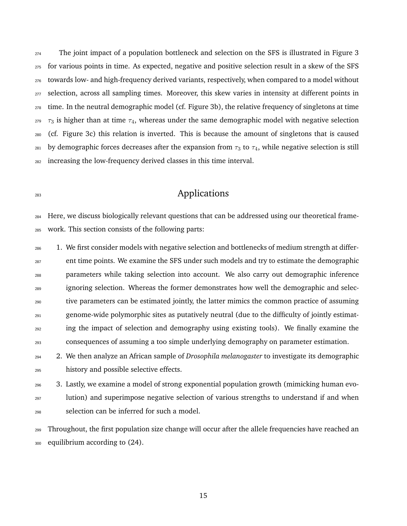The joint impact of a population bottleneck and selection on the SFS is illustrated in Figure 3 for various points in time. As expected, negative and positive selection result in a skew of the SFS towards low- and high-frequency derived variants, respectively, when compared to a model without selection, across all sampling times. Moreover, this skew varies in intensity at different points in time. In the neutral demographic model (cf. Figure 3b), the relative frequency of singletons at time  $\tau_3$  is higher than at time  $\tau_4$ , whereas under the same demographic model with negative selection (cf. Figure 3c) this relation is inverted. This is because the amount of singletons that is caused 281 by demographic forces decreases after the expansion from  $\tau_3$  to  $\tau_4$ , while negative selection is still increasing the low-frequency derived classes in this time interval.

# **Applications**

 Here, we discuss biologically relevant questions that can be addressed using our theoretical frame-work. This section consists of the following parts:

<sub>286</sub> 1. We first consider models with negative selection and bottlenecks of medium strength at differ-<sup>287</sup> ent time points. We examine the SFS under such models and try to estimate the demographic parameters while taking selection into account. We also carry out demographic inference ignoring selection. Whereas the former demonstrates how well the demographic and selec- tive parameters can be estimated jointly, the latter mimics the common practice of assuming genome-wide polymorphic sites as putatively neutral (due to the difficulty of jointly estimat- ing the impact of selection and demography using existing tools). We finally examine the consequences of assuming a too simple underlying demography on parameter estimation.

 2. We then analyze an African sample of *Drosophila melanogaster* to investigate its demographic history and possible selective effects.

 3. Lastly, we examine a model of strong exponential population growth (mimicking human evo-<sup>297</sup> lution) and superimpose negative selection of various strengths to understand if and when selection can be inferred for such a model.

 Throughout, the first population size change will occur after the allele frequencies have reached an equilibrium according to (24).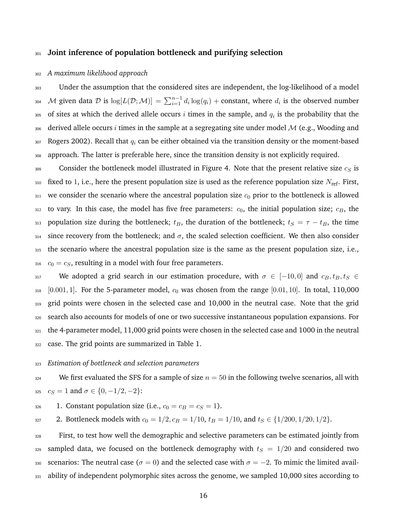### <sup>301</sup> **Joint inference of population bottleneck and purifying selection**

#### <sup>302</sup> *A maximum likelihood approach*

<sup>303</sup> Under the assumption that the considered sites are independent, the log-likelihood of a model 304 M given data D is  $\log[L(\mathcal{D};\mathcal{M})] = \sum_{i=1}^{n-1} d_i \log(q_i) + \text{constant}$ , where  $d_i$  is the observed number  $_{305}$  of sites at which the derived allele occurs  $i$  times in the sample, and  $q_i$  is the probability that the 306 derived allele occurs i times in the sample at a segregating site under model  $M$  (e.g., Wooding and  $307$  Rogers 2002). Recall that  $q_i$  can be either obtained via the transition density or the moment-based <sup>308</sup> approach. The latter is preferable here, since the transition density is not explicitly required.

 Consider the bottleneck model illustrated in Figure 4. Note that the present relative size  $c_S$  is 310 fixed to 1, i.e., here the present population size is used as the reference population size  $N_{\text{ref}}$ . First, we consider the scenario where the ancestral population size  $c_0$  prior to the bottleneck is allowed to vary. In this case, the model has five free parameters:  $c_0$ , the initial population size;  $c_B$ , the 313 population size during the bottleneck;  $t_B$ , the duration of the bottleneck;  $t_S = \tau - t_B$ , the time 314 since recovery from the bottleneck; and  $\sigma$ , the scaled selection coefficient. We then also consider the scenario where the ancestral population size is the same as the present population size, i.e.,  $c_0 = c_S$ , resulting in a model with four free parameters.

317 We adopted a grid search in our estimation procedure, with  $\sigma \in [-10,0]$  and  $c_B, t_B, t_S \in$  $_{318}$  [0.001, 1]. For the 5-parameter model,  $c_0$  was chosen from the range [0.01, 10]. In total, 110,000 319 grid points were chosen in the selected case and 10,000 in the neutral case. Note that the grid <sup>320</sup> search also accounts for models of one or two successive instantaneous population expansions. For <sup>321</sup> the 4-parameter model, 11,000 grid points were chosen in the selected case and 1000 in the neutral <sup>322</sup> case. The grid points are summarized in Table 1.

#### <sup>323</sup> *Estimation of bottleneck and selection parameters*

<sup>324</sup> We first evaluated the SFS for a sample of size  $n = 50$  in the following twelve scenarios, all with 325  $c_S = 1$  and  $\sigma \in \{0, -1/2, -2\}$ :

326 1. Constant population size (i.e.,  $c_0 = c_B = c_S = 1$ ).

327 2. Bottleneck models with  $c_0 = 1/2, c_B = 1/10, t_B = 1/10$ , and  $t_S \in \{1/200, 1/20, 1/2\}.$ 

<sup>328</sup> First, to test how well the demographic and selective parameters can be estimated jointly from 329 sampled data, we focused on the bottleneck demography with  $t_S = 1/20$  and considered two 330 scenarios: The neutral case ( $\sigma = 0$ ) and the selected case with  $\sigma = -2$ . To mimic the limited avail-331 ability of independent polymorphic sites across the genome, we sampled 10,000 sites according to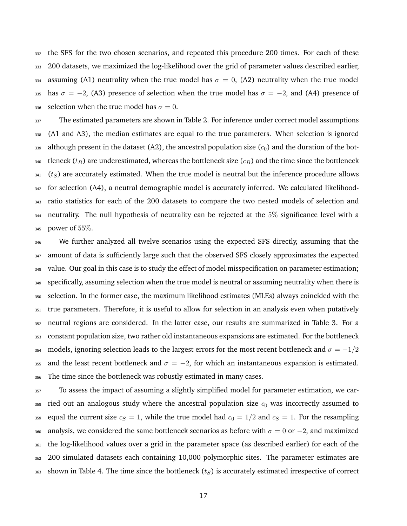the SFS for the two chosen scenarios, and repeated this procedure 200 times. For each of these 200 datasets, we maximized the log-likelihood over the grid of parameter values described earlier, 334 assuming (A1) neutrality when the true model has  $\sigma = 0$ , (A2) neutrality when the true model 335 has  $\sigma = -2$ , (A3) presence of selection when the true model has  $\sigma = -2$ , and (A4) presence of 336 selection when the true model has  $\sigma = 0$ .

337 The estimated parameters are shown in Table 2. For inference under correct model assumptions (A1 and A3), the median estimates are equal to the true parameters. When selection is ignored 339 although present in the dataset (A2), the ancestral population size  $(c_0)$  and the duration of the bot-340 tleneck ( $t_B$ ) are underestimated, whereas the bottleneck size ( $c_B$ ) and the time since the bottleneck ( $t<sub>S</sub>$ ) are accurately estimated. When the true model is neutral but the inference procedure allows for selection (A4), a neutral demographic model is accurately inferred. We calculated likelihood- ratio statistics for each of the 200 datasets to compare the two nested models of selection and neutrality. The null hypothesis of neutrality can be rejected at the 5% significance level with a power of 55%.

 We further analyzed all twelve scenarios using the expected SFS directly, assuming that the 347 amount of data is sufficiently large such that the observed SFS closely approximates the expected value. Our goal in this case is to study the effect of model misspecification on parameter estimation; specifically, assuming selection when the true model is neutral or assuming neutrality when there is selection. In the former case, the maximum likelihood estimates (MLEs) always coincided with the <sup>351</sup> true parameters. Therefore, it is useful to allow for selection in an analysis even when putatively neutral regions are considered. In the latter case, our results are summarized in Table 3. For a constant population size, two rather old instantaneous expansions are estimated. For the bottleneck  $_{^{354}}~\,$  models, ignoring selection leads to the largest errors for the most recent bottleneck and  $\sigma = -1/2$ 355 and the least recent bottleneck and  $\sigma = -2$ , for which an instantaneous expansion is estimated. The time since the bottleneck was robustly estimated in many cases.

 To assess the impact of assuming a slightly simplified model for parameter estimation, we car- ried out an analogous study where the ancestral population size  $c_0$  was incorrectly assumed to 359 equal the current size  $c_S = 1$ , while the true model had  $c_0 = 1/2$  and  $c_S = 1$ . For the resampling 360 analysis, we considered the same bottleneck scenarios as before with  $\sigma = 0$  or  $-2$ , and maximized the log-likelihood values over a grid in the parameter space (as described earlier) for each of the 200 simulated datasets each containing 10,000 polymorphic sites. The parameter estimates are 363 shown in Table 4. The time since the bottleneck  $(t<sub>S</sub>)$  is accurately estimated irrespective of correct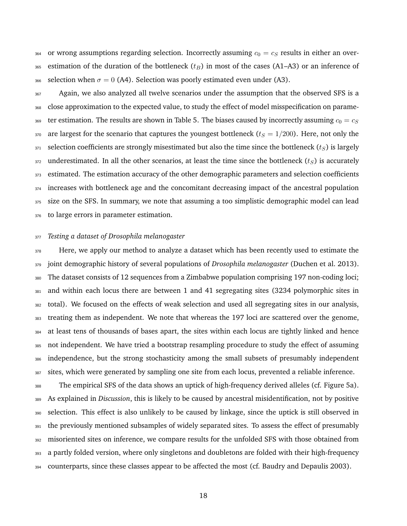364 or wrong assumptions regarding selection. Incorrectly assuming  $c_0 = c_S$  results in either an over-365 estimation of the duration of the bottleneck  $(t_B)$  in most of the cases (A1–A3) or an inference of 366 selection when  $\sigma = 0$  (A4). Selection was poorly estimated even under (A3).

<sup>367</sup> Again, we also analyzed all twelve scenarios under the assumption that the observed SFS is a close approximation to the expected value, to study the effect of model misspecification on parame-369 ter estimation. The results are shown in Table 5. The biases caused by incorrectly assuming  $c_0 = c_S$ 370 are largest for the scenario that captures the youngest bottleneck ( $t_S = 1/200$ ). Here, not only the selection coefficients are strongly misestimated but also the time since the bottleneck ( $t_S$ ) is largely underestimated. In all the other scenarios, at least the time since the bottleneck  $(t<sub>S</sub>)$  is accurately estimated. The estimation accuracy of the other demographic parameters and selection coefficients <sup>374</sup> increases with bottleneck age and the concomitant decreasing impact of the ancestral population size on the SFS. In summary, we note that assuming a too simplistic demographic model can lead 376 to large errors in parameter estimation.

#### *Testing a dataset of Drosophila melanogaster*

<sup>378</sup> Here, we apply our method to analyze a dataset which has been recently used to estimate the joint demographic history of several populations of *Drosophila melanogaster* (Duchen et al. 2013). The dataset consists of 12 sequences from a Zimbabwe population comprising 197 non-coding loci; and within each locus there are between 1 and 41 segregating sites (3234 polymorphic sites in total). We focused on the effects of weak selection and used all segregating sites in our analysis, treating them as independent. We note that whereas the 197 loci are scattered over the genome, at least tens of thousands of bases apart, the sites within each locus are tightly linked and hence not independent. We have tried a bootstrap resampling procedure to study the effect of assuming independence, but the strong stochasticity among the small subsets of presumably independent sites, which were generated by sampling one site from each locus, prevented a reliable inference.

 The empirical SFS of the data shows an uptick of high-frequency derived alleles (cf. Figure 5a). As explained in *Discussion*, this is likely to be caused by ancestral misidentification, not by positive selection. This effect is also unlikely to be caused by linkage, since the uptick is still observed in the previously mentioned subsamples of widely separated sites. To assess the effect of presumably misoriented sites on inference, we compare results for the unfolded SFS with those obtained from a partly folded version, where only singletons and doubletons are folded with their high-frequency counterparts, since these classes appear to be affected the most (cf. Baudry and Depaulis 2003).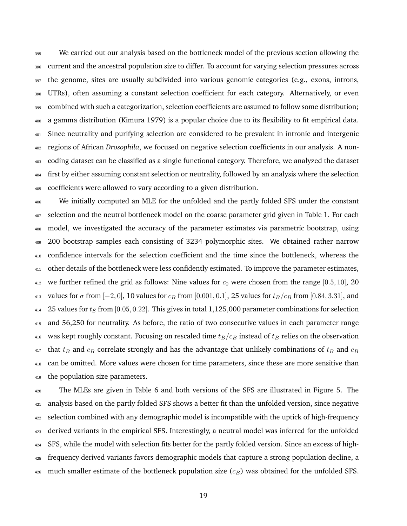We carried out our analysis based on the bottleneck model of the previous section allowing the current and the ancestral population size to differ. To account for varying selection pressures across the genome, sites are usually subdivided into various genomic categories (e.g., exons, introns, UTRs), often assuming a constant selection coefficient for each category. Alternatively, or even combined with such a categorization, selection coefficients are assumed to follow some distribution; a gamma distribution (Kimura 1979) is a popular choice due to its flexibility to fit empirical data. Since neutrality and purifying selection are considered to be prevalent in intronic and intergenic regions of African *Drosophila*, we focused on negative selection coefficients in our analysis. A non- coding dataset can be classified as a single functional category. Therefore, we analyzed the dataset first by either assuming constant selection or neutrality, followed by an analysis where the selection coefficients were allowed to vary according to a given distribution.

 We initially computed an MLE for the unfolded and the partly folded SFS under the constant selection and the neutral bottleneck model on the coarse parameter grid given in Table 1. For each model, we investigated the accuracy of the parameter estimates via parametric bootstrap, using 200 bootstrap samples each consisting of 3234 polymorphic sites. We obtained rather narrow confidence intervals for the selection coefficient and the time since the bottleneck, whereas the 411 other details of the bottleneck were less confidently estimated. To improve the parameter estimates, 412 we further refined the grid as follows: Nine values for  $c_0$  were chosen from the range [0.5, 10], 20 413 values for  $\sigma$  from  $[-2, 0]$ , 10 values for  $c_B$  from  $[0.001, 0.1]$ , 25 values for  $t_B/c_B$  from  $[0.84, 3.31]$ , and 414 25 values for  $t_S$  from [0.05, 0.22]. This gives in total 1,125,000 parameter combinations for selection and 56,250 for neutrality. As before, the ratio of two consecutive values in each parameter range 416 was kept roughly constant. Focusing on rescaled time  $t_B/c_B$  instead of  $t_B$  relies on the observation that  $t_B$  and  $c_B$  correlate strongly and has the advantage that unlikely combinations of  $t_B$  and  $c_B$  can be omitted. More values were chosen for time parameters, since these are more sensitive than the population size parameters.

 The MLEs are given in Table 6 and both versions of the SFS are illustrated in Figure 5. The 421 analysis based on the partly folded SFS shows a better fit than the unfolded version, since negative selection combined with any demographic model is incompatible with the uptick of high-frequency derived variants in the empirical SFS. Interestingly, a neutral model was inferred for the unfolded SFS, while the model with selection fits better for the partly folded version. Since an excess of high- frequency derived variants favors demographic models that capture a strong population decline, a much smaller estimate of the bottleneck population size  $(c_B)$  was obtained for the unfolded SFS.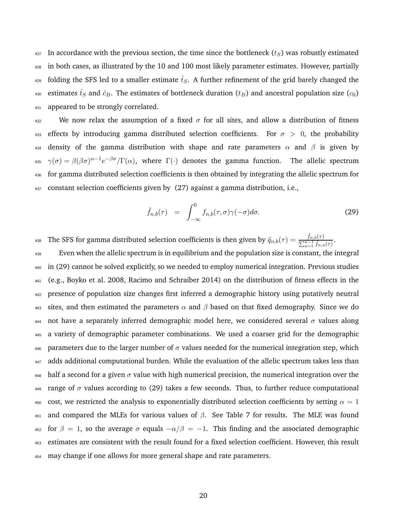$427$  In accordance with the previous section, the time since the bottleneck  $(t<sub>S</sub>)$  was robustly estimated <sup>428</sup> in both cases, as illustrated by the 10 and 100 most likely parameter estimates. However, partially <sup>429</sup> folding the SFS led to a smaller estimate  $\hat{t}_S$ . A further refinement of the grid barely changed the 430 estimates  $\hat{t}_S$  and  $\hat{c}_B$ . The estimates of bottleneck duration ( $t_B$ ) and ancestral population size ( $c_0$ ) 431 appeared to be strongly correlated.

432 We now relax the assumption of a fixed  $\sigma$  for all sites, and allow a distribution of fitness 433 effects by introducing gamma distributed selection coefficients. For  $\sigma > 0$ , the probability 434 density of the gamma distribution with shape and rate parameters  $\alpha$  and  $\beta$  is given by <sup>435</sup>  $\gamma(\sigma) = \beta(\beta\sigma)^{\alpha-1}e^{-\beta\sigma}/\Gamma(\alpha)$ , where  $\Gamma(\cdot)$  denotes the gamma function. The allelic spectrum <sup>436</sup> for gamma distributed selection coefficients is then obtained by integrating the allelic spectrum for <sup>437</sup> constant selection coefficients given by (27) against a gamma distribution, i.e.,

$$
\tilde{f}_{n,b}(\tau) = \int_{-\infty}^{0} f_{n,b}(\tau,\sigma) \gamma(-\sigma) d\sigma.
$$
\n(29)

The SFS for gamma distributed selection coefficients is then given by  $\tilde{q}_{n,b}(\tau) = \frac{\tilde{f}_{n,b}(\tau)}{\sum_{n=1}^{n-1} \tilde{f}_{n,b}(\tau)}$ 438 The SFS for gamma distributed selection coefficients is then given by  $\tilde{q}_{n,b}(\tau) = \frac{J_{n,b}(\tau)}{\sum_{a=1}^{n-1} \tilde{f}_{n,a}(\tau)}$ .

<sup>439</sup> Even when the allelic spectrum is in equilibrium and the population size is constant, the integral <sup>440</sup> in (29) cannot be solved explicitly, so we needed to employ numerical integration. Previous studies <sup>441</sup> (e.g., Boyko et al. 2008, Racimo and Schraiber 2014) on the distribution of fitness effects in the <sup>442</sup> presence of population size changes first inferred a demographic history using putatively neutral 443 sites, and then estimated the parameters  $\alpha$  and  $\beta$  based on that fixed demography. Since we do 444 not have a separately inferred demographic model here, we considered several  $\sigma$  values along <sup>445</sup> a variety of demographic parameter combinations. We used a coarser grid for the demographic 446 parameters due to the larger number of  $\sigma$  values needed for the numerical integration step, which 447 adds additional computational burden. While the evaluation of the allelic spectrum takes less than 448 half a second for a given  $\sigma$  value with high numerical precision, the numerical integration over the 449 range of  $\sigma$  values according to (29) takes a few seconds. Thus, to further reduce computational 450 cost, we restricted the analysis to exponentially distributed selection coefficients by setting  $\alpha = 1$ 451 and compared the MLEs for various values of  $\beta$ . See Table 7 for results. The MLE was found 452 for  $\beta = 1$ , so the average  $\sigma$  equals  $-\alpha/\beta = -1$ . This finding and the associated demographic <sup>453</sup> estimates are consistent with the result found for a fixed selection coefficient. However, this result <sup>454</sup> may change if one allows for more general shape and rate parameters.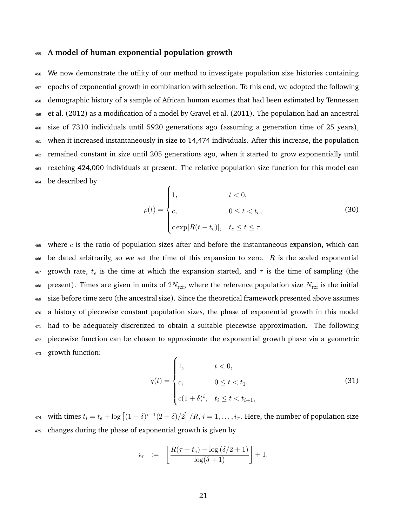### <sup>455</sup> **A model of human exponential population growth**

 We now demonstrate the utility of our method to investigate population size histories containing epochs of exponential growth in combination with selection. To this end, we adopted the following demographic history of a sample of African human exomes that had been estimated by Tennessen et al. (2012) as a modification of a model by Gravel et al. (2011). The population had an ancestral size of 7310 individuals until 5920 generations ago (assuming a generation time of 25 years), when it increased instantaneously in size to 14,474 individuals. After this increase, the population remained constant in size until 205 generations ago, when it started to grow exponentially until reaching 424,000 individuals at present. The relative population size function for this model can be described by

$$
\rho(t) = \begin{cases}\n1, & t < 0, \\
c, & 0 \le t < t_e, \\
c \exp[R(t - t_e)], & t_e \le t \le \tau,\n\end{cases}
$$
\n(30)

 $465$  where c is the ratio of population sizes after and before the instantaneous expansion, which can 466 be dated arbitrarily, so we set the time of this expansion to zero. R is the scaled exponential 467 growth rate,  $t_e$  is the time at which the expansion started, and  $\tau$  is the time of sampling (the 468 present). Times are given in units of  $2N_{\text{ref}}$ , where the reference population size  $N_{\text{ref}}$  is the initial <sup>469</sup> size before time zero (the ancestral size). Since the theoretical framework presented above assumes <sup>470</sup> a history of piecewise constant population sizes, the phase of exponential growth in this model 471 had to be adequately discretized to obtain a suitable piecewise approximation. The following <sup>472</sup> piecewise function can be chosen to approximate the exponential growth phase via a geometric <sup>473</sup> growth function:

$$
q(t) = \begin{cases} 1, & t < 0, \\ c, & 0 \le t < t_1, \\ c(1+\delta)^i, & t_i \le t < t_{i+1}, \end{cases}
$$
 (31)

<sup>474</sup> with times  $t_i = t_e + \log [(1+\delta)^{i-1}(2+\delta)/2] / R$ ,  $i = 1, \ldots, i_\tau$ . Here, the number of population size <sup>475</sup> changes during the phase of exponential growth is given by

$$
i_{\tau} \quad := \quad \left\lfloor \frac{R(\tau - t_e) - \log{(\delta/2 + 1)}}{\log(\delta + 1)} \right\rfloor + 1.
$$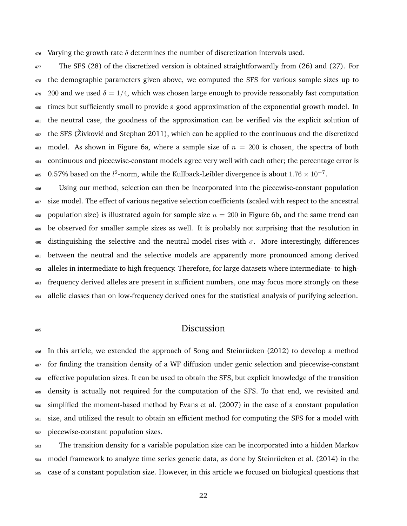476 Varying the growth rate  $\delta$  determines the number of discretization intervals used.

 The SFS (28) of the discretized version is obtained straightforwardly from (26) and (27). For the demographic parameters given above, we computed the SFS for various sample sizes up to 200 and we used  $\delta = 1/4$ , which was chosen large enough to provide reasonably fast computation times but sufficiently small to provide a good approximation of the exponential growth model. In the neutral case, the goodness of the approximation can be verified via the explicit solution of the SFS (Živković and Stephan 2011), which can be applied to the continuous and the discretized 483 model. As shown in Figure 6a, where a sample size of  $n = 200$  is chosen, the spectra of both continuous and piecewise-constant models agree very well with each other; the percentage error is <sup>485</sup> 0.57% based on the  $l^2$ -norm, while the Kullback-Leibler divergence is about  $1.76 \times 10^{-7}$ .

 Using our method, selection can then be incorporated into the piecewise-constant population 487 size model. The effect of various negative selection coefficients (scaled with respect to the ancestral 488 population size) is illustrated again for sample size  $n = 200$  in Figure 6b, and the same trend can be observed for smaller sample sizes as well. It is probably not surprising that the resolution in 490 distinguishing the selective and the neutral model rises with  $\sigma$ . More interestingly, differences between the neutral and the selective models are apparently more pronounced among derived alleles in intermediate to high frequency. Therefore, for large datasets where intermediate- to high- frequency derived alleles are present in sufficient numbers, one may focus more strongly on these allelic classes than on low-frequency derived ones for the statistical analysis of purifying selection.

# Discussion

496 In this article, we extended the approach of Song and Steinrücken (2012) to develop a method for finding the transition density of a WF diffusion under genic selection and piecewise-constant effective population sizes. It can be used to obtain the SFS, but explicit knowledge of the transition density is actually not required for the computation of the SFS. To that end, we revisited and simplified the moment-based method by Evans et al. (2007) in the case of a constant population size, and utilized the result to obtain an efficient method for computing the SFS for a model with piecewise-constant population sizes.

 The transition density for a variable population size can be incorporated into a hidden Markov model framework to analyze time series genetic data, as done by Steinrücken et al. (2014) in the case of a constant population size. However, in this article we focused on biological questions that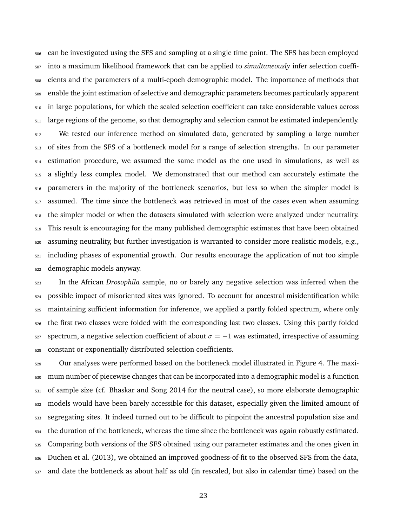can be investigated using the SFS and sampling at a single time point. The SFS has been employed into a maximum likelihood framework that can be applied to *simultaneously* infer selection coeffi- cients and the parameters of a multi-epoch demographic model. The importance of methods that enable the joint estimation of selective and demographic parameters becomes particularly apparent in large populations, for which the scaled selection coefficient can take considerable values across large regions of the genome, so that demography and selection cannot be estimated independently. We tested our inference method on simulated data, generated by sampling a large number of sites from the SFS of a bottleneck model for a range of selection strengths. In our parameter estimation procedure, we assumed the same model as the one used in simulations, as well as a slightly less complex model. We demonstrated that our method can accurately estimate the parameters in the majority of the bottleneck scenarios, but less so when the simpler model is assumed. The time since the bottleneck was retrieved in most of the cases even when assuming the simpler model or when the datasets simulated with selection were analyzed under neutrality. <sub>519</sub> This result is encouraging for the many published demographic estimates that have been obtained assuming neutrality, but further investigation is warranted to consider more realistic models, e.g., including phases of exponential growth. Our results encourage the application of not too simple demographic models anyway.

 In the African *Drosophila* sample, no or barely any negative selection was inferred when the possible impact of misoriented sites was ignored. To account for ancestral misidentification while maintaining sufficient information for inference, we applied a partly folded spectrum, where only the first two classes were folded with the corresponding last two classes. Using this partly folded spectrum, a negative selection coefficient of about  $\sigma = -1$  was estimated, irrespective of assuming constant or exponentially distributed selection coefficients.

 Our analyses were performed based on the bottleneck model illustrated in Figure 4. The maxi- mum number of piecewise changes that can be incorporated into a demographic model is a function of sample size (cf. Bhaskar and Song 2014 for the neutral case), so more elaborate demographic <sub>532</sub> models would have been barely accessible for this dataset, especially given the limited amount of segregating sites. It indeed turned out to be difficult to pinpoint the ancestral population size and the duration of the bottleneck, whereas the time since the bottleneck was again robustly estimated. <sub>535</sub> Comparing both versions of the SFS obtained using our parameter estimates and the ones given in Duchen et al. (2013), we obtained an improved goodness-of-fit to the observed SFS from the data, and date the bottleneck as about half as old (in rescaled, but also in calendar time) based on the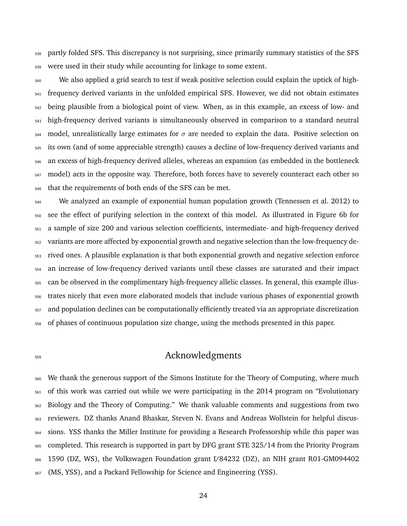partly folded SFS. This discrepancy is not surprising, since primarily summary statistics of the SFS were used in their study while accounting for linkage to some extent.

 We also applied a grid search to test if weak positive selection could explain the uptick of high- frequency derived variants in the unfolded empirical SFS. However, we did not obtain estimates being plausible from a biological point of view. When, as in this example, an excess of low- and high-frequency derived variants is simultaneously observed in comparison to a standard neutral  $_{544}$  model, unrealistically large estimates for  $\sigma$  are needed to explain the data. Positive selection on its own (and of some appreciable strength) causes a decline of low-frequency derived variants and an excess of high-frequency derived alleles, whereas an expansion (as embedded in the bottleneck 547 model) acts in the opposite way. Therefore, both forces have to severely counteract each other so that the requirements of both ends of the SFS can be met.

 We analyzed an example of exponential human population growth (Tennessen et al. 2012) to see the effect of purifying selection in the context of this model. As illustrated in Figure 6b for a sample of size 200 and various selection coefficients, intermediate- and high-frequency derived variants are more affected by exponential growth and negative selection than the low-frequency de- rived ones. A plausible explanation is that both exponential growth and negative selection enforce an increase of low-frequency derived variants until these classes are saturated and their impact can be observed in the complimentary high-frequency allelic classes. In general, this example illus- trates nicely that even more elaborated models that include various phases of exponential growth and population declines can be computationally efficiently treated via an appropriate discretization of phases of continuous population size change, using the methods presented in this paper.

# Acknowledgments

 We thank the generous support of the Simons Institute for the Theory of Computing, where much of this work was carried out while we were participating in the 2014 program on "Evolutionary Biology and the Theory of Computing." We thank valuable comments and suggestions from two reviewers. DZ thanks Anand Bhaskar, Steven N. Evans and Andreas Wollstein for helpful discus- sions. YSS thanks the Miller Institute for providing a Research Professorship while this paper was completed. This research is supported in part by DFG grant STE 325/14 from the Priority Program 1590 (DZ, WS), the Volkswagen Foundation grant I/84232 (DZ), an NIH grant R01-GM094402 (MS, YSS), and a Packard Fellowship for Science and Engineering (YSS).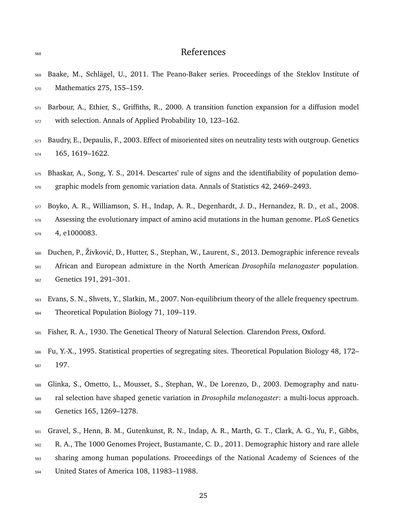# References

- Baake, M., Schl¨agel, U., 2011. The Peano-Baker series. Proceedings of the Steklov Institute of Mathematics 275, 155–159.
- Barbour, A., Ethier, S., Griffiths, R., 2000. A transition function expansion for a diffusion model with selection. Annals of Applied Probability 10, 123–162.
- Baudry, E., Depaulis, F., 2003. Effect of misoriented sites on neutrality tests with outgroup. Genetics 165, 1619–1622.
- Bhaskar, A., Song, Y. S., 2014. Descartes' rule of signs and the identifiability of population demo-graphic models from genomic variation data. Annals of Statistics 42, 2469–2493.
- Boyko, A. R., Williamson, S. H., Indap, A. R., Degenhardt, J. D., Hernandez, R. D., et al., 2008. Assessing the evolutionary impact of amino acid mutations in the human genome. PLoS Genetics 4, e1000083.
- 580 Duchen, P., Živković, D., Hutter, S., Stephan, W., Laurent, S., 2013. Demographic inference reveals African and European admixture in the North American *Drosophila melanogaster* population. Genetics 191, 291–301.
- Evans, S. N., Shvets, Y., Slatkin, M., 2007. Non-equilibrium theory of the allele frequency spectrum. Theoretical Population Biology 71, 109–119.
- Fisher, R. A., 1930. The Genetical Theory of Natural Selection. Clarendon Press, Oxford.
- Fu, Y.-X., 1995. Statistical properties of segregating sites. Theoretical Population Biology 48, 172– 197.
- Glinka, S., Ometto, L., Mousset, S., Stephan, W., De Lorenzo, D., 2003. Demography and natu- ral selection have shaped genetic variation in *Drosophila melanogaster*: a multi-locus approach. Genetics 165, 1269–1278.
- Gravel, S., Henn, B. M., Gutenkunst, R. N., Indap, A. R., Marth, G. T., Clark, A. G., Yu, F., Gibbs, R. A., The 1000 Genomes Project, Bustamante, C. D., 2011. Demographic history and rare allele sharing among human populations. Proceedings of the National Academy of Sciences of the United States of America 108, 11983–11988.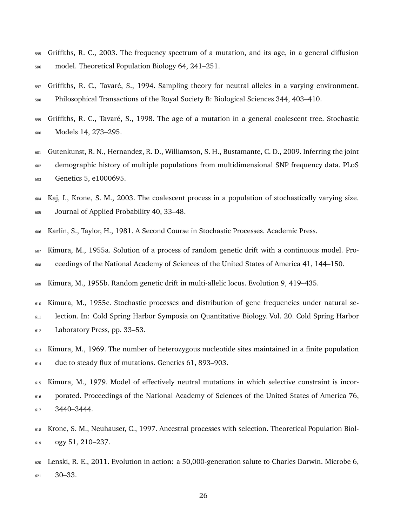- Griffiths, R. C., 2003. The frequency spectrum of a mutation, and its age, in a general diffusion model. Theoretical Population Biology 64, 241–251.
- Griffiths, R. C., Tavaré, S., 1994. Sampling theory for neutral alleles in a varying environment. Philosophical Transactions of the Royal Society B: Biological Sciences 344, 403–410.
- <sub>599</sub> Griffiths, R. C., Tavaré, S., 1998. The age of a mutation in a general coalescent tree. Stochastic Models 14, 273–295.
- Gutenkunst, R. N., Hernandez, R. D., Williamson, S. H., Bustamante, C. D., 2009. Inferring the joint demographic history of multiple populations from multidimensional SNP frequency data. PLoS Genetics 5, e1000695.
- Kaj, I., Krone, S. M., 2003. The coalescent process in a population of stochastically varying size. Journal of Applied Probability 40, 33–48.
- Karlin, S., Taylor, H., 1981. A Second Course in Stochastic Processes. Academic Press.
- Kimura, M., 1955a. Solution of a process of random genetic drift with a continuous model. Pro-ceedings of the National Academy of Sciences of the United States of America 41, 144–150.
- Kimura, M., 1955b. Random genetic drift in multi-allelic locus. Evolution 9, 419–435.
- Kimura, M., 1955c. Stochastic processes and distribution of gene frequencies under natural se-
- lection. In: Cold Spring Harbor Symposia on Quantitative Biology. Vol. 20. Cold Spring Harbor Laboratory Press, pp. 33–53.
- Kimura, M., 1969. The number of heterozygous nucleotide sites maintained in a finite population due to steady flux of mutations. Genetics 61, 893–903.
- Kimura, M., 1979. Model of effectively neutral mutations in which selective constraint is incor- porated. Proceedings of the National Academy of Sciences of the United States of America 76, 3440–3444.
- Krone, S. M., Neuhauser, C., 1997. Ancestral processes with selection. Theoretical Population Biol-ogy 51, 210–237.
- Lenski, R. E., 2011. Evolution in action: a 50,000-generation salute to Charles Darwin. Microbe 6, 30–33.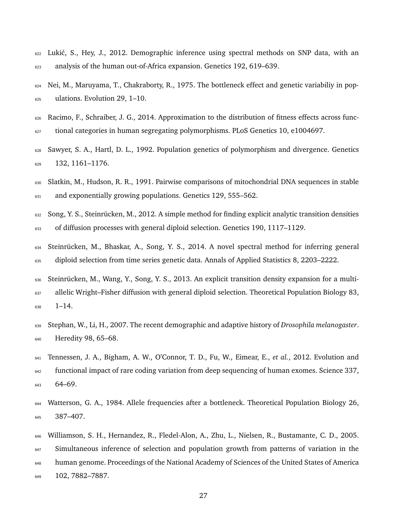- <sup>622</sup> Lukić, S., Hey, J., 2012. Demographic inference using spectral methods on SNP data, with an analysis of the human out-of-Africa expansion. Genetics 192, 619–639.
- Nei, M., Maruyama, T., Chakraborty, R., 1975. The bottleneck effect and genetic variabiliy in pop-ulations. Evolution 29, 1–10.
- Racimo, F., Schraiber, J. G., 2014. Approximation to the distribution of fitness effects across func-tional categories in human segregating polymorphisms. PLoS Genetics 10, e1004697.
- Sawyer, S. A., Hartl, D. L., 1992. Population genetics of polymorphism and divergence. Genetics 132, 1161–1176.
- Slatkin, M., Hudson, R. R., 1991. Pairwise comparisons of mitochondrial DNA sequences in stable <sup>631</sup> and exponentially growing populations. Genetics 129, 555–562.
- Song, Y. S., Steinrücken, M., 2012. A simple method for finding explicit analytic transition densities of diffusion processes with general diploid selection. Genetics 190, 1117–1129.
- 634 Steinrücken, M., Bhaskar, A., Song, Y. S., 2014. A novel spectral method for inferring general diploid selection from time series genetic data. Annals of Applied Statistics 8, 2203–2222.
- Steinrücken, M., Wang, Y., Song, Y. S., 2013. An explicit transition density expansion for a multi- allelic Wright–Fisher diffusion with general diploid selection. Theoretical Population Biology 83, 1–14.
- Stephan, W., Li, H., 2007. The recent demographic and adaptive history of *Drosophila melanogaster*. Heredity 98, 65–68.
- Tennessen, J. A., Bigham, A. W., O'Connor, T. D., Fu, W., Eimear, E., *et al.*, 2012. Evolution and functional impact of rare coding variation from deep sequencing of human exomes. Science 337, 64–69.
- Watterson, G. A., 1984. Allele frequencies after a bottleneck. Theoretical Population Biology 26, 387–407.
- Williamson, S. H., Hernandez, R., Fledel-Alon, A., Zhu, L., Nielsen, R., Bustamante, C. D., 2005. <sup>647</sup> Simultaneous inference of selection and population growth from patterns of variation in the human genome. Proceedings of the National Academy of Sciences of the United States of America 102, 7882–7887.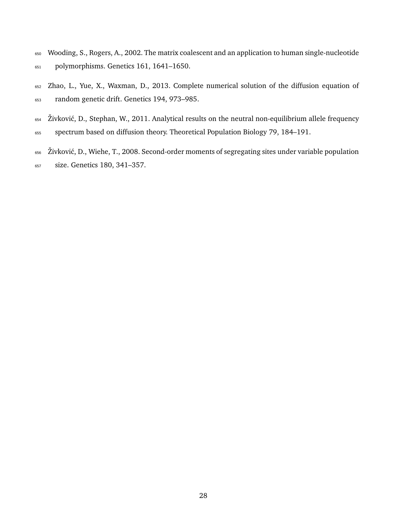- Wooding, S., Rogers, A., 2002. The matrix coalescent and an application to human single-nucleotide polymorphisms. Genetics 161, 1641–1650.
- Zhao, L., Yue, X., Waxman, D., 2013. Complete numerical solution of the diffusion equation of random genetic drift. Genetics 194, 973–985.
- 654 Živković, D., Stephan, W., 2011. Analytical results on the neutral non-equilibrium allele frequency
- spectrum based on diffusion theory. Theoretical Population Biology 79, 184–191.
- <sup>656</sup> Živković, D., Wiehe, T., 2008. Second-order moments of segregating sites under variable population size. Genetics 180, 341–357.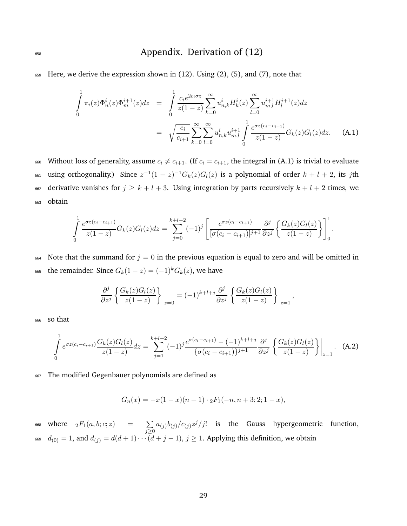# <sup>658</sup> Appendix. Derivation of (12)

<sup>659</sup> Here, we derive the expression shown in (12). Using (2), (5), and (7), note that

$$
\int_{0}^{1} \pi_{i}(z)\Phi_{m}^{i}(z)\Phi_{m}^{i+1}(z)dz = \int_{0}^{1} \frac{c_{i}e^{2c_{i}\sigma z}}{z(1-z)} \sum_{k=0}^{\infty} u_{n,k}^{i}H_{k}^{i}(z) \sum_{l=0}^{\infty} u_{m,l}^{i+1}H_{l}^{i+1}(z)dz
$$
\n
$$
= \sqrt{\frac{c_{i}}{c_{i+1}}} \sum_{k=0}^{\infty} \sum_{l=0}^{\infty} u_{n,k}^{i}u_{m,l}^{i+1} \int_{0}^{1} \frac{e^{\sigma z(c_{i}-c_{i+1})}}{z(1-z)} G_{k}(z)G_{l}(z)dz.
$$
 (A.1)

660 Without loss of generality, assume  $c_i \neq c_{i+1}$ . (If  $c_i = c_{i+1}$ , the integral in (A.1) is trivial to evaluate 661 using orthogonality.) Since  $z^{-1}(1-z)^{-1}G_k(z)G_l(z)$  is a polynomial of order  $k+l+2$ , its jth 662 derivative vanishes for  $j \geq k + l + 3$ . Using integration by parts recursively  $k + l + 2$  times, we <sup>663</sup> obtain

$$
\int_{0}^{1} \frac{e^{\sigma z (c_i - c_{i+1})}}{z(1-z)} G_k(z) G_l(z) dz = \sum_{j=0}^{k+l+2} (-1)^j \left[ \frac{e^{\sigma z (c_i - c_{i+1})}}{[\sigma (c_i - c_{i+1})]^{j+1}} \frac{\partial^j}{\partial z^j} \left\{ \frac{G_k(z) G_l(z)}{z(1-z)} \right\} \right]_0^1.
$$

664 Note that the summand for  $j = 0$  in the previous equation is equal to zero and will be omitted in 665 the remainder. Since  $G_k(1-z) = (-1)^k G_k(z)$ , we have

$$
\frac{\partial^j}{\partial z^j} \left\{ \frac{G_k(z)G_l(z)}{z(1-z)} \right\} \bigg|_{z=0} = (-1)^{k+l+j} \frac{\partial^j}{\partial z^j} \left\{ \frac{G_k(z)G_l(z)}{z(1-z)} \right\} \bigg|_{z=1},
$$

<sup>666</sup> so that

$$
\int_{0}^{1} e^{\sigma z (c_i - c_{i+1})} \frac{G_k(z) G_l(z)}{z (1 - z)} dz = \sum_{j=1}^{k+l+2} (-1)^j \frac{e^{\sigma (c_i - c_{i+1})} - (-1)^{k+l+j}}{\{\sigma (c_i - c_{i+1})\}^{j+1}} \frac{\partial^j}{\partial z^j} \left\{ \frac{G_k(z) G_l(z)}{z (1 - z)} \right\} \Big|_{z=1}.
$$
 (A.2)

<sup>667</sup> The modified Gegenbauer polynomials are defined as

$$
G_n(x) = -x(1-x)(n+1) \cdot {}_2F_1(-n, n+3; 2; 1-x),
$$

where  $_2F_1(a,b;c;z)$  =  $\sum$ 668 where  ${}_2F_1(a,b;c;z)$  =  $\sum_{j\geq 0}a_{(j)}b_{(j)}/c_{(j)}z^j/j!$  is the Gauss hypergeometric function, 669  $d_{(0)} = 1$ , and  $d_{(j)} = d(d+1)\cdots(d+j-1)$ ,  $j \ge 1$ . Applying this definition, we obtain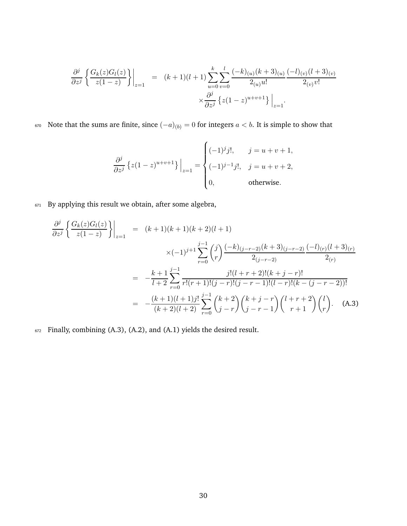$$
\frac{\partial^j}{\partial z^j} \left\{ \frac{G_k(z)G_l(z)}{z(1-z)} \right\} \Big|_{z=1} = (k+1)(l+1) \sum_{u=0}^k \sum_{v=0}^l \frac{(-k)_{(u)}(k+3)_{(u)}}{2_{(u)}u!} \frac{(-l)_{(v)}(l+3)_{(v)}}{2_{(v)}v!} \times \frac{\partial^j}{\partial z^j} \left\{ z(1-z)^{u+v+1} \right\} \Big|_{z=1}.
$$

670 Note that the sums are finite, since  $(-a)_{(b)} = 0$  for integers  $a < b$ . It is simple to show that

$$
\frac{\partial^j}{\partial z^j} \left\{ z(1-z)^{u+v+1} \right\} \Big|_{z=1} = \begin{cases} (-1)^j j!, & j = u+v+1, \\ (-1)^{j-1} j!, & j = u+v+2, \\ 0, & \text{otherwise.} \end{cases}
$$

<sup>671</sup> By applying this result we obtain, after some algebra,

$$
\frac{\partial^j}{\partial z^j} \left\{ \frac{G_k(z)G_l(z)}{z(1-z)} \right\} \Big|_{z=1} = (k+1)(k+1)(k+2)(l+1)
$$
  

$$
\times (-1)^{j+1} \sum_{r=0}^{j-1} {j \choose r} \frac{(-k)_{(j-r-2)}(k+3)_{(j-r-2)} (-l)_{(r)}(l+3)_{(r)}}{2_{(r)}}
$$
  

$$
= -\frac{k+1}{l+2} \sum_{r=0}^{j-1} \frac{j!(l+r+2)!(k+j-r)!}{r!(r+1)!(j-r)!(j-r-1)!(l-r)!(k-(j-r-2))!}
$$
  

$$
= -\frac{(k+1)(l+1)j!}{(k+2)(l+2)} \sum_{r=0}^{j-1} {k+2 \choose j-r} {k+j-r \choose j-r-1} {l+r+2 \choose r+1} {l \choose r}.
$$
 (A.3)

<sup>672</sup> Finally, combining (A.3), (A.2), and (A.1) yields the desired result.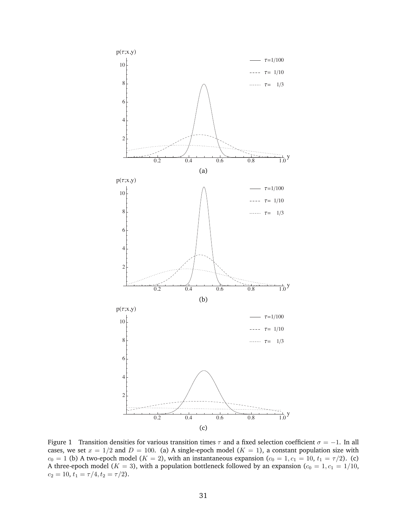

Figure 1 Transition densities for various transition times  $\tau$  and a fixed selection coefficient  $\sigma = -1$ . In all cases, we set  $x = 1/2$  and  $D = 100$ . (a) A single-epoch model ( $K = 1$ ), a constant population size with  $c_0 = 1$  (b) A two-epoch model ( $K = 2$ ), with an instantaneous expansion ( $c_0 = 1, c_1 = 10, t_1 = \tau/2$ ). (c) A three-epoch model ( $K = 3$ ), with a population bottleneck followed by an expansion ( $c_0 = 1, c_1 = 1/10$ ,  $c_2 = 10, t_1 = \tau/4, t_2 = \tau/2$ .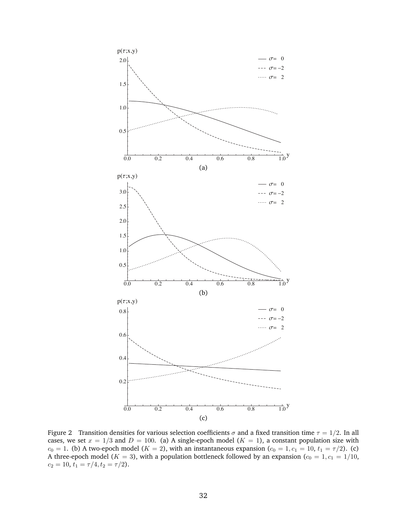

Figure 2 Transition densities for various selection coefficients  $\sigma$  and a fixed transition time  $\tau = 1/2$ . In all cases, we set  $x = 1/3$  and  $D = 100$ . (a) A single-epoch model ( $K = 1$ ), a constant population size with  $c_0 = 1$ . (b) A two-epoch model ( $K = 2$ ), with an instantaneous expansion ( $c_0 = 1, c_1 = 10, t_1 = \tau/2$ ). (c) A three-epoch model ( $K = 3$ ), with a population bottleneck followed by an expansion ( $c_0 = 1, c_1 = 1/10$ ,  $c_2 = 10, t_1 = \tau/4, t_2 = \tau/2$ .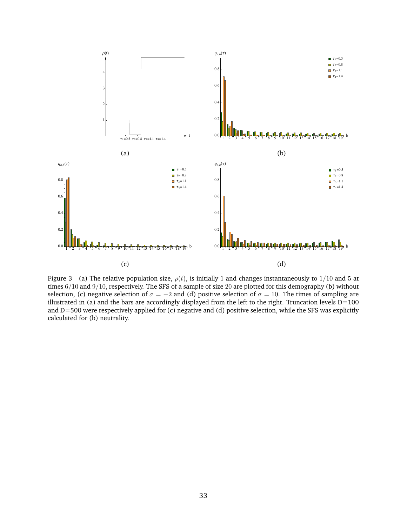

Figure 3 (a) The relative population size,  $\rho(t)$ , is initially 1 and changes instantaneously to 1/10 and 5 at times 6/10 and 9/10, respectively. The SFS of a sample of size 20 are plotted for this demography (b) without selection, (c) negative selection of  $\sigma = -2$  and (d) positive selection of  $\sigma = 10$ . The times of sampling are illustrated in (a) and the bars are accordingly displayed from the left to the right. Truncation levels  $D=100$ and D=500 were respectively applied for (c) negative and (d) positive selection, while the SFS was explicitly calculated for (b) neutrality.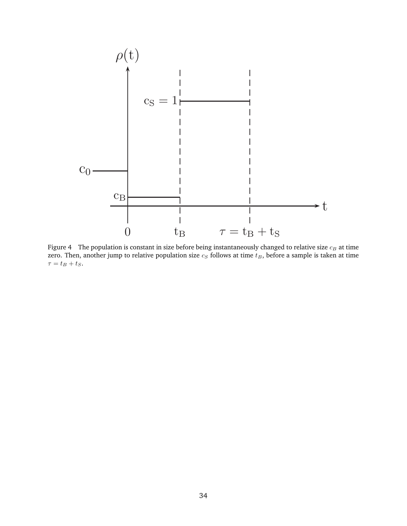

Figure 4  $\;$  The population is constant in size before being instantaneously changed to relative size  $c_B$  at time zero. Then, another jump to relative population size  $c_S$  follows at time  $t_B$ , before a sample is taken at time  $\tau = t_B + t_S.$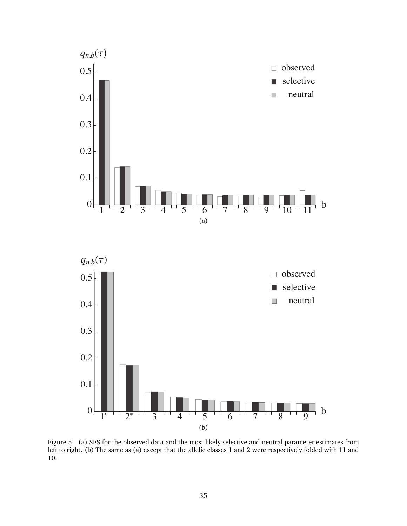

Figure 5 (a) SFS for the observed data and the most likely selective and neutral parameter estimates from left to right. (b) The same as (a) except that the allelic classes 1 and 2 were respectively folded with 11 and 10.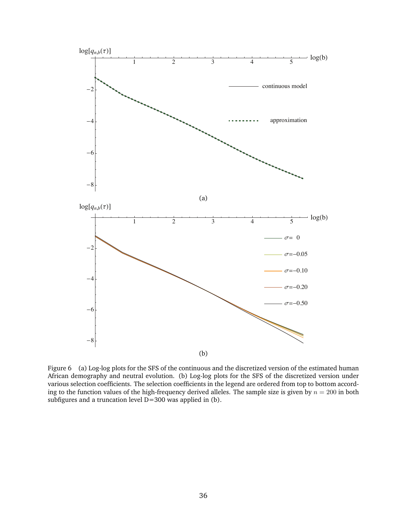

Figure 6 (a) Log-log plots for the SFS of the continuous and the discretized version of the estimated human African demography and neutral evolution. (b) Log-log plots for the SFS of the discretized version under various selection coefficients. The selection coefficients in the legend are ordered from top to bottom according to the function values of the high-frequency derived alleles. The sample size is given by  $n = 200$  in both subfigures and a truncation level D=300 was applied in (b).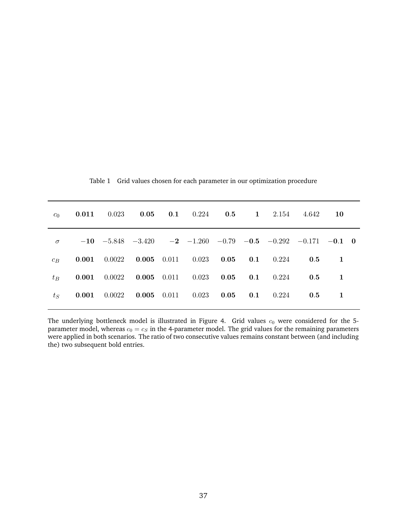|          |                                                                    |  |  |  | $c_0$ 0.011 0.023 0.05 0.1 0.224 0.5 1 2.154 4.642 10                           |    |  |
|----------|--------------------------------------------------------------------|--|--|--|---------------------------------------------------------------------------------|----|--|
| $\sigma$ |                                                                    |  |  |  | $-10$ $-5.848$ $-3.420$ $-2$ $-1.260$ $-0.79$ $-0.5$ $-0.292$ $-0.171$ $-0.1$ 0 |    |  |
|          |                                                                    |  |  |  | $c_B$ 0.001 0.0022 0.005 0.011 0.023 0.05 0.1 0.224 0.5                         | -1 |  |
|          |                                                                    |  |  |  | $t_B$ 0.001 0.0022 0.005 0.011 0.023 0.05 0.1 0.224 0.5                         | -1 |  |
| $t_S$    | <b>0.001</b> 0.0022 <b>0.005</b> 0.011 0.023 <b>0.05</b> 0.1 0.224 |  |  |  | 0.5                                                                             | 1  |  |
|          |                                                                    |  |  |  |                                                                                 |    |  |

Table 1 Grid values chosen for each parameter in our optimization procedure

The underlying bottleneck model is illustrated in Figure 4. Grid values  $c_0$  were considered for the 5parameter model, whereas  $c_0 = c_S$  in the 4-parameter model. The grid values for the remaining parameters were applied in both scenarios. The ratio of two consecutive values remains constant between (and including the) two subsequent bold entries.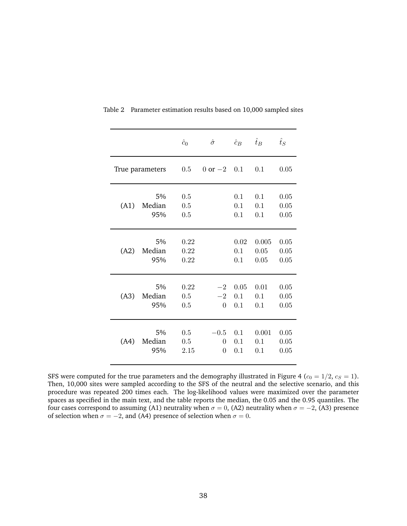|      |                 | $\hat{c}_0$ | $\hat{\sigma}$     | $\hat{c}_B$ | $\hat{t}_B$ | $\hat{t}_S$ |
|------|-----------------|-------------|--------------------|-------------|-------------|-------------|
|      |                 |             |                    |             |             |             |
|      | True parameters |             | $0 \text{ or } -2$ | 0.1         | 0.1         | 0.05        |
|      |                 |             |                    |             |             |             |
|      | 5%              | 0.5         |                    | 0.1         | 0.1         | 0.05        |
| (A1) | Median          | 0.5         |                    | 0.1         | 0.1         | 0.05        |
|      | 95%             | 0.5         |                    | 0.1         | 0.1         | 0.05        |
|      |                 |             |                    |             |             |             |
|      | 5%              | 0.22        |                    | 0.02        | 0.005       | 0.05        |
| (A2) | Median          | 0.22        |                    | 0.1         | 0.05        | 0.05        |
|      | 95%             | 0.22        |                    | 0.1         | 0.05        | 0.05        |
|      |                 |             |                    |             |             |             |
|      |                 |             |                    |             |             |             |
|      | 5%              | 0.22        | $-2$               | 0.05        | 0.01        | 0.05        |
| (A3) | Median          | 0.5         | $-2$               | 0.1         | 0.1         | 0.05        |
|      | 95%             | 0.5         | $\Omega$           | 0.1         | 0.1         | 0.05        |
|      |                 |             |                    |             |             |             |
|      | 5%              | 0.5         | $-0.5$             | 0.1         | 0.001       | 0.05        |
| (A4) | Median          | 0.5         | 0                  | 0.1         | 0.1         | 0.05        |
|      | 95%             | 2.15        | $\theta$           | 0.1         | 0.1         | 0.05        |
|      |                 |             |                    |             |             |             |

Table 2 Parameter estimation results based on 10,000 sampled sites

SFS were computed for the true parameters and the demography illustrated in Figure 4 ( $c_0 = 1/2$ ,  $c_S = 1$ ). Then, 10,000 sites were sampled according to the SFS of the neutral and the selective scenario, and this procedure was repeated 200 times each. The log-likelihood values were maximized over the parameter spaces as specified in the main text, and the table reports the median, the 0.05 and the 0.95 quantiles. The four cases correspond to assuming (A1) neutrality when  $\sigma = 0$ , (A2) neutrality when  $\sigma = -2$ , (A3) presence of selection when  $\sigma = -2$ , and (A4) presence of selection when  $\sigma = 0$ .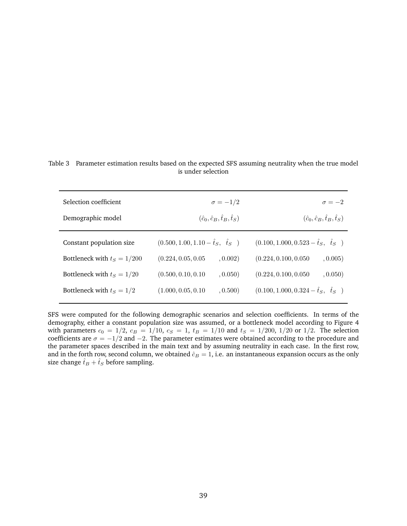Table 3 Parameter estimation results based on the expected SFS assuming neutrality when the true model is under selection

| Selection coefficient<br>Demographic model | $\sigma = -1/2$<br>$(\hat{c}_0, \hat{c}_B, \hat{t}_B, \hat{t}_S)$ | $\sigma = -2$<br>$(\hat{c}_0, \hat{c}_B, \hat{t}_B, \hat{t}_S)$ |  |  |
|--------------------------------------------|-------------------------------------------------------------------|-----------------------------------------------------------------|--|--|
| Constant population size                   | $(0.500, 1.00, 1.10 - \hat{t}_S, \quad \hat{t}_S)$                | $(0.100, 1.000, 0.523 - \hat{t}_S, \ \hat{t}_S)$                |  |  |
| Bottleneck with $t_s = 1/200$              | (0.224, 0.05, 0.05)<br>, 0.002)                                   | (0.224, 0.100, 0.050)<br>, 0.005)                               |  |  |
| Bottleneck with $t_s = 1/20$               | (0.500, 0.10, 0.10)<br>, 0.050)                                   | (0.224, 0.100, 0.050)<br>, 0.050)                               |  |  |
| Bottleneck with $t_S = 1/2$                | (1.000, 0.05, 0.10)<br>, 0.500)                                   | $(0.100, 1.000, 0.324 - \hat{t}_S, \ \hat{t}_S)$                |  |  |

SFS were computed for the following demographic scenarios and selection coefficients. In terms of the demography, either a constant population size was assumed, or a bottleneck model according to Figure 4 with parameters  $c_0 = 1/2$ ,  $c_B = 1/10$ ,  $c_S = 1$ ,  $t_B = 1/10$  and  $t_S = 1/200$ ,  $1/20$  or  $1/2$ . The selection coefficients are  $\sigma = -1/2$  and  $-2$ . The parameter estimates were obtained according to the procedure and the parameter spaces described in the main text and by assuming neutrality in each case. In the first row, and in the forth row, second column, we obtained  $\hat{c}_B = 1$ , i.e. an instantaneous expansion occurs as the only size change  $\hat{t}_B + \hat{t}_S$  before sampling.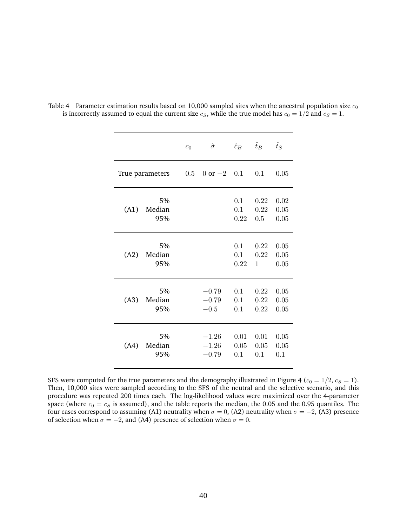|      |                     | c <sub>0</sub> | $\hat{\sigma}$                | $\hat{c}_B$         | $\hat{t}_B$          | $\hat{t}_S$          |
|------|---------------------|----------------|-------------------------------|---------------------|----------------------|----------------------|
|      | True parameters     | 0.5            | 0 or $-2$ 0.1                 |                     | 0.1                  | 0.05                 |
| (A1) | 5%<br>Median<br>95% |                |                               | 0.1<br>0.1<br>0.22  | 0.22<br>0.22<br>0.5  | 0.02<br>0.05<br>0.05 |
| (A2) | 5%<br>Median<br>95% |                |                               | 0.1<br>0.1<br>0.22  | 0.22<br>0.22<br>1    | 0.05<br>0.05<br>0.05 |
| (A3) | 5%<br>Median<br>95% |                | $-0.79$<br>$-0.79$<br>$-0.5$  | 0.1<br>0.1<br>0.1   | 0.22<br>0.22<br>0.22 | 0.05<br>0.05<br>0.05 |
| (A4) | 5%<br>Median<br>95% |                | $-1.26$<br>$-1.26$<br>$-0.79$ | 0.01<br>0.05<br>0.1 | 0.01<br>0.05<br>0.1  | 0.05<br>0.05<br>0.1  |

Table 4 Parameter estimation results based on 10,000 sampled sites when the ancestral population size  $c_0$ is incorrectly assumed to equal the current size  $c_S$ , while the true model has  $c_0 = 1/2$  and  $c_S = 1$ .

SFS were computed for the true parameters and the demography illustrated in Figure 4 ( $c_0 = 1/2$ ,  $c_S = 1$ ). Then, 10,000 sites were sampled according to the SFS of the neutral and the selective scenario, and this procedure was repeated 200 times each. The log-likelihood values were maximized over the 4-parameter space (where  $c_0 = c_S$  is assumed), and the table reports the median, the 0.05 and the 0.95 quantiles. The four cases correspond to assuming (A1) neutrality when  $\sigma = 0$ , (A2) neutrality when  $\sigma = -2$ , (A3) presence of selection when  $\sigma = -2$ , and (A4) presence of selection when  $\sigma = 0$ .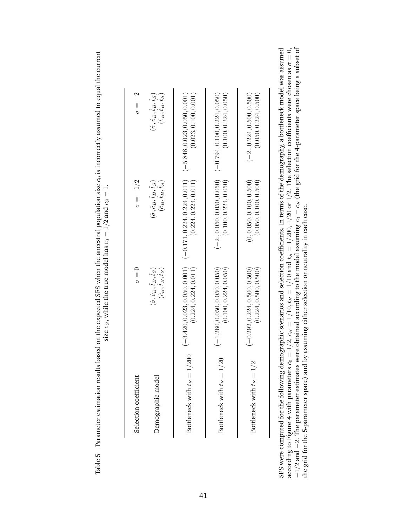| $\colon$           |
|--------------------|
|                    |
| ì                  |
|                    |
|                    |
|                    |
|                    |
| $\mid$             |
| $\epsilon$         |
|                    |
|                    |
|                    |
|                    |
|                    |
|                    |
| the true model has |
|                    |
| while              |
|                    |
| size $cc$ .<br>ì   |
|                    |
|                    |

| $\sigma = -2$         | $(\hat{\sigma}, \hat{c}_B, \hat{t}_B, \hat{t}_S)$ $(\hat{c}_B, \hat{t}_B, \hat{t}_S)$    | (0.023, 0.100, 0.001)<br>$(-5.848, 0.023, 0.050, 0.001)$ | $(-0.794, 0.100, 0.224, 0.050)$<br>(0.100, 0.224, 0.050) | $(-2., 0.224, 0.500, 0.500)$<br>(0.050, 0.224, 0.500)    |
|-----------------------|------------------------------------------------------------------------------------------|----------------------------------------------------------|----------------------------------------------------------|----------------------------------------------------------|
| $\sigma = -1/2$       | $(\hat{\sigma}, \hat{c}_B, \hat{t}_B, \hat{t}_S)$ $(\hat{c}_B, \hat{t}_B, \hat{t}_S)$    | $(-0.171, 0.224, 0.224, 0.011)$<br>(0.224, 0.224, 0.011) | $(-2., 0.050, 0.050, 0.050)$<br>(0.100, 0.224, 0.050)    | (0.050, 0.100, 0.500)<br>(0, 0.050, 0.100, 0.500)        |
| $\sigma = 0$          | $(\hat{c}_B, \hat{t}_B, \hat{t}_S)$<br>$(\hat{\sigma}, \hat{c}_B, \hat{t}_B, \hat{t}_S)$ | $(-3.420, 0.023, 0.050, 0.001)$<br>(0.224, 0.224, 0.011) | $(-1.260, 0.050, 0.050, 0.050)$<br>(0.100, 0.224, 0.050) | $(-0.292, 0.224, 0.500, 0.500)$<br>(0.224, 0.500, 0.500) |
| Selection coefficient | Demographic model                                                                        | Bottleneck with $t_S = 1/200$                            | Bottleneck with $t_S = 1/20$                             | Bottleneck with $t_S = 1/2$                              |

SFS were computed for the following demographic scenarios and selection coefficients. In terms of the demography, a bottleneck model was assumed according to Figure 4 with parameters  $c_0 = 1/2$ ,  $c_B = 1/10$ ,  $t_B$ B $B = 1/10$  and  $t_S = 1/200$ ,  $1/20$  or  $1/2$ . The selection coefficients were chosen as  $\sigma = 0,$  $-1/2$  and −2. The parameter estimates were obtained according to the model assuming  $c_0 = c_S$  (the grid for the 4-parameter space being a subset of  $\Delta z$  =  $\Delta z$  =  $\Delta z$  =  $\Delta z$  =  $\Delta z$  =  $\Delta z$  =  $\Delta z$  =  $\Delta z$  =  $\Delta z$  =  $\Delta z$  =  $\Delta$ the grid for the 5-parameter space) and by assuming either selection or neutrality in each case.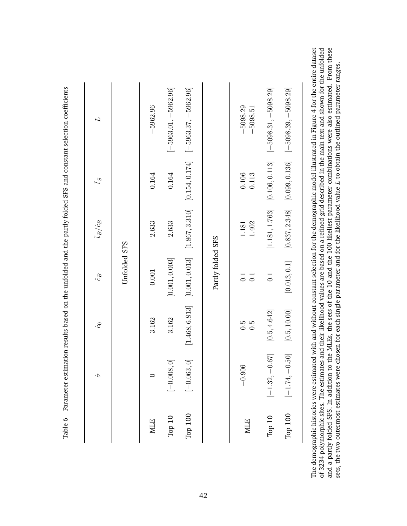|            | $\hat{\sigma}$          | $\hat{c}$           | $\hat{c_B}$       | $\hat{t}_B/\hat{c}_B$ | $\hat{f}_{\mathcal{Y}}$ | L                      |
|------------|-------------------------|---------------------|-------------------|-----------------------|-------------------------|------------------------|
|            |                         |                     | Unfolded SFS      |                       |                         |                        |
| <b>MLE</b> | 0                       | 3.162               | $0.001\,$         | 2.633                 | 0.164                   | $-5962.96$             |
| Top $10$   | $[-0.008, 0]$           | 3.162               | [0.001, 0.003]    | 2.633                 | 0.164                   | $[-5963.01, -5962.96]$ |
| Top 100    | $\left[-0.063,0\right]$ | [1.468, 6.813]      | [0.001, 0.013]    | [1.867, 3.310]        | [0.154, 0.174]          | $[-5963.37, -5962.96]$ |
|            |                         |                     | Partly folded SFS |                       |                         |                        |
| <b>MLE</b> | $-0.906$                | 0.5<br>$\ddot{0}$ . | 0.1<br>0.1        | 1.402<br>1.181        | 0.106<br>0.113          | 5098.29<br>5098.51     |
| Top 10     | $[-1.32, -0.67]$        | [0.5, 4.642]        | 0.1               | [1.181, 1.763]        | [0.106, 0.113]          | $[-5098.31, -5098.29]$ |
| Top 100    | $[-1.74, -0.50]$        | [0.5, 10.00]        | [0.013, 0.1]      | [0.837, 2.348]        | [0.099, 0.136]          | $[-5098.39, -5098.29]$ |

taset of 3234 polymorphic sites. The estimates and their likelihood values are based on a refined grid described in the main text and shown for the unfolded<br>and a partly folded SFS. In addition to the MLEs, the sets of the 10 an The demographic histories were estimated with and without constant selection for the demographic model illustrated in Figure 4 for the entire dataset of 3234 polymorphic sites. The estimates and their likelihood values are based on a refined grid described in the main text and shown for the unfolded and a partly folded SFS. In addition to the MLEs, the sets of the 10 and the 100 likeliest parameter combinations were also estimated. From these  $L$  to obtain the outlined parameter ranges. sets, the two outermost estimates were chosen for each single parameter and for the likelihood value The demogra